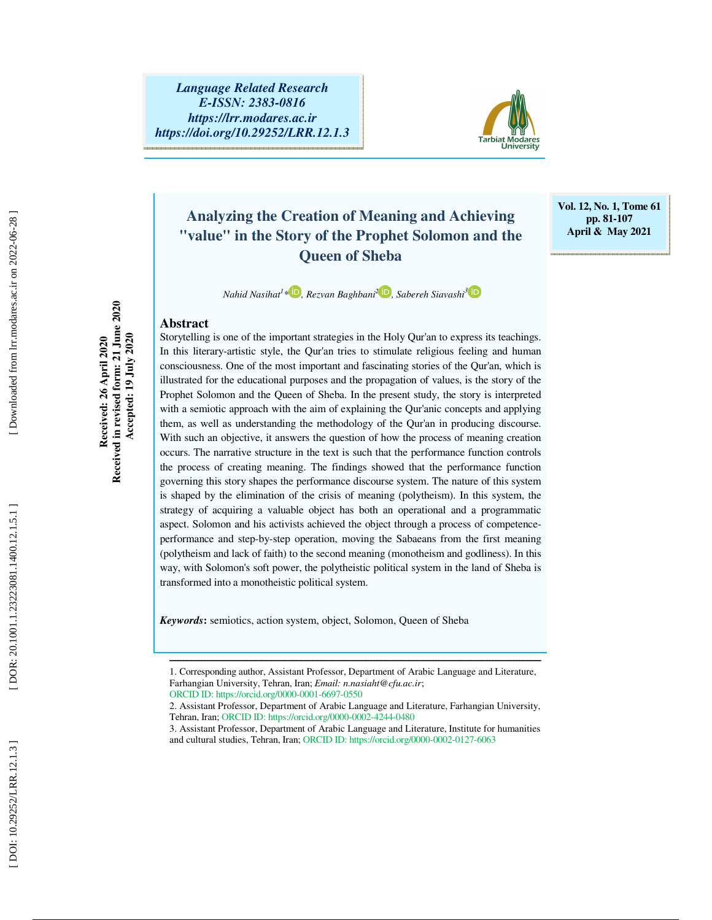

### **Analyzing the Creation of Meaning and Achieving "value" in the Story of the Prophet Solomon and the Queen of Sheba**

**Vol. 12, No. 1, Tome 61 pp. 81-107 April & May 2021** 

*Nahid Nasihat 1 \* , Rezvan Baghbani 2 , Sabereh Siavashi 3*

#### **Abstract**

Storytelling is one of the important strategies in the Holy Qur'an to express its teachings. In this literary-artistic style, the Qur'an tries to stimulate religious feeling and human consciousness. One of the most important and fascinating stories of the Qur'an, which is illustrated for the educational purposes and the propagation of values, is the story of the Prophet Solomon and the Queen of Sheba. In the present study, the story is interpreted with a semiotic approach with the aim of explaining the Qur'anic concepts and applying them, as well as understanding the methodology of the Qur'an in producing discourse. With such an objective, it answers the question of how the process of meaning creation occurs. The narrative structure in the text is such that the performance function controls the process of creating meaning. The findings showed that the performance function governing this story shapes the performance discourse system. The nature of this system is shaped by the elimination of the crisis of meaning (polytheism). In this system, the strategy of acquiring a valuable object has both an operational and a programmatic aspect. Solomon and his activists achieved the object through a process of competenceperformance and step-by-step operation, moving the Sabaeans from the first meaning (polytheism and lack of faith) to the second meaning (monotheism and godliness). In this way, with Solomon's soft power, the polytheistic political system in the land of Sheba is transformed into a monotheistic political system.

*Keywords* **:** semiotics, action system, object, Solomon, Queen of Sheba

1. Corresponding author, Assistant Professor, Department of Arabic Language and Literature, Farhangian University, Tehran, Iran; *Email: n.nasiaht@cfu.ac.ir*;

ــــــــــــــــــــــــــــــــــــــــــــــــــــــــــــــــــــــــــــــــــــــــــــــــــــــــــــــــــــــــــــــــــــــــــ

ORCID ID: https://orcid.org/0000-0001-6697-0550

2. Assistant Professor, Department of Arabic Language and Literature, Farhangian University, Tehran, Iran; ORCID ID: https://orcid.org/0000-0002-4244-0480

3. Assistant Professor, Department of Arabic Language and Literature, Institute for humanities and cultural studies, Tehran, Iran; ORCID ID: https://orcid.org/0000-0002-0127-6063

Downloaded from lrr.modares.ac.ir on 2022-06-28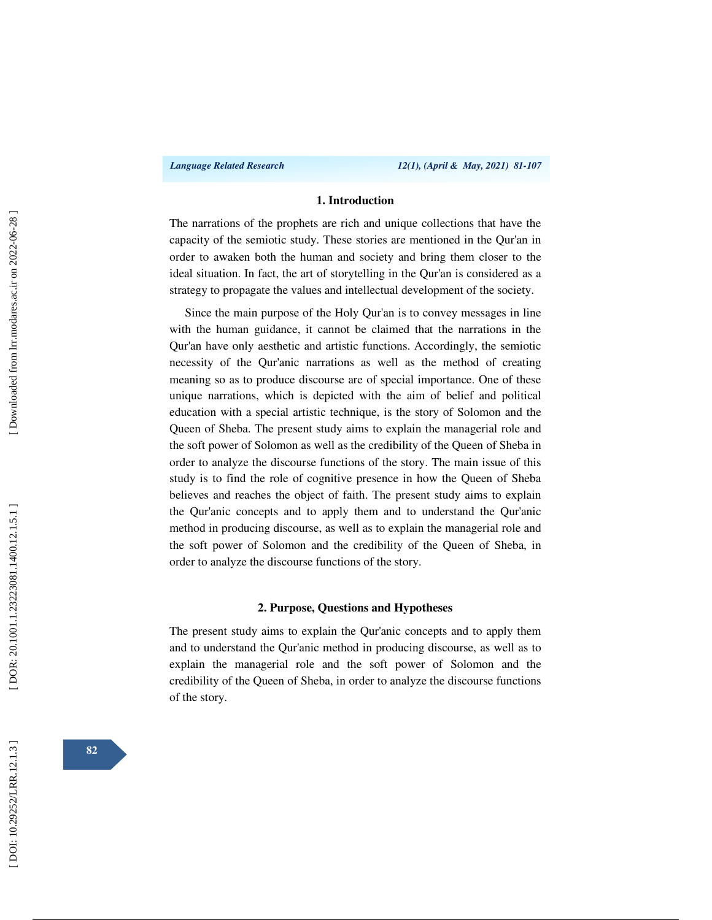#### **1. Introduction**

The narrations of the prophets are rich and unique collections that have the capacity of the semiotic study. These stories are mentioned in the Qur'an in order to awaken both the human and society and bring them closer to the ideal situation. In fact, the art of storytelling in the Qur'an is considered as a strategy to propagate the values and intellectual development of the society.

Since the main purpose of the Holy Qur'an is to convey messages in line with the human guidance, it cannot be claimed that the narrations in the Qur'an have only aesthetic and artistic functions. Accordingly, the semiotic necessity of the Qur'anic narrations as well as the method of creating meaning so as to produce discourse are of special importance. One of these unique narrations, which is depicted with the aim of belief and political education with a special artistic technique, is the story of Solomon and the Queen of Sheba. The present study aims to explain the managerial role and the soft power of Solomon as well as the credibility of the Queen of Sheba in order to analyze the discourse functions of the story. The main issue of this study is to find the role of cognitive presence in how the Queen of Sheba believes and reaches the object of faith. The present study aims to explain the Qur'anic concepts and to apply them and to understand the Qur'anic method in producing discourse, as well as to explain the managerial role and the soft power of Solomon and the credibility of the Queen of Sheba, in order to analyze the discourse functions of the story.

#### **2. Purpose, Questions and Hypotheses**

The present study aims to explain the Qur'anic concepts and to apply them and to understand the Qur'anic method in producing discourse, as well as to explain the managerial role and the soft power of Solomon and the credibility of the Queen of Sheba, in order to analyze the discourse functions of the story.

**82**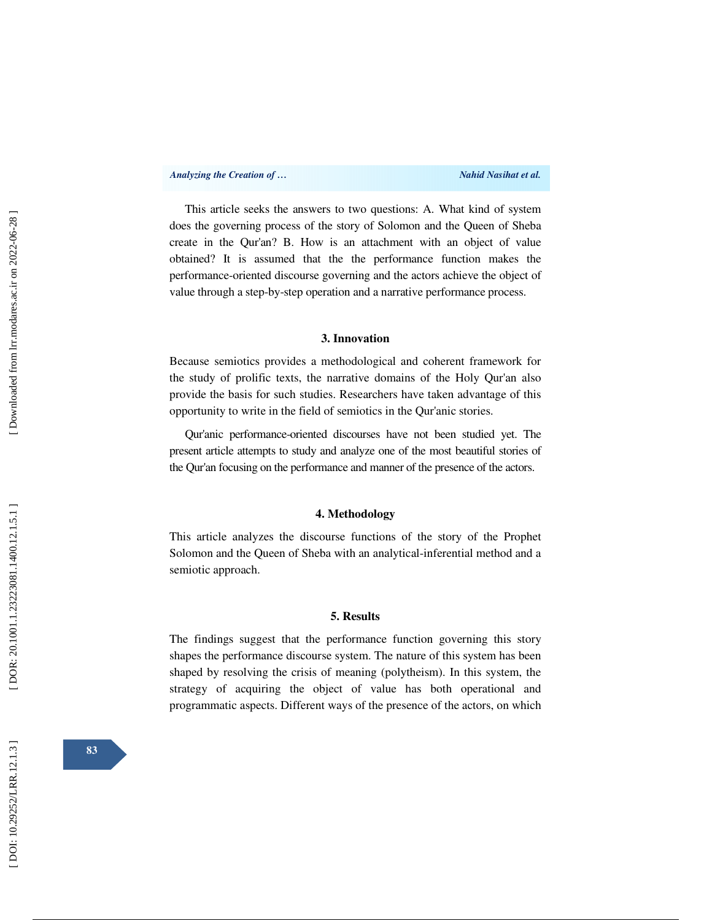This article seeks the answers to two questions: A. What kind of system does the governing process of the story of Solomon and the Queen of Sheba create in the Qur'an? B. How is an attachment with an object of value obtained? It is assumed that the the performance function makes the performance-oriented discourse governing and the actors achieve the object of value through a step-by-step operation and a narrative performance process.

#### **3. Innovation**

Because semiotics provides a methodological and coherent framework for the study of prolific texts, the narrative domains of the Holy Qur'an also provide the basis for such studies. Researchers have taken advantage of this opportunity to write in the field of semiotics in the Qur'anic stories.

Qur'anic performance-oriented discourses have not been studied yet. The present article attempts to study and analyze one of the most beautiful stories of the Qur'an focusing on the performance and manner of the presence of the actors.

#### **4. Methodology**

This article analyzes the discourse functions of the story of the Prophet Solomon and the Queen of Sheba with an analytical-inferential method and a semiotic approach.

#### **5. Results**

The findings suggest that the performance function governing this story shapes the performance discourse system. The nature of this system has been shaped by resolving the crisis of meaning (polytheism). In this system, the strategy of acquiring the object of value has both operational and programmatic aspects. Different ways of the presence of the actors, on which

**83**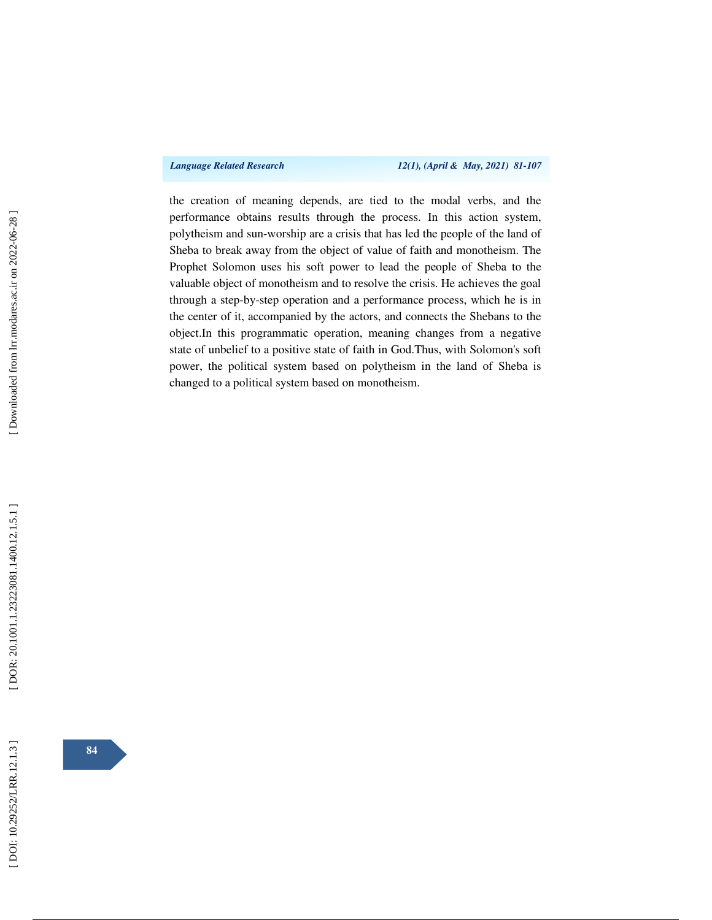*Language Related Research 12(1), (April & May, 2021) 81-107* 

the creation of meaning depends, are tied to the modal verbs, and the performance obtains results through the process. In this action system, polytheism and sun-worship are a crisis that has led the people of the land of Sheba to break away from the object of value of faith and monotheism. The Prophet Solomon uses his soft power to lead the people of Sheba to the valuable object of monotheism and to resolve the crisis. He achieves the goal through a step-by-step operation and a performance process, which he is in the center of it, accompanied by the actors, and connects the Shebans to the object.In this programmatic operation, meaning changes from a negative state of unbelief to a positive state of faith in God.Thus, with Solomon's soft power, the political system based on polytheism in the land of Sheba is changed to a political system based on monotheism.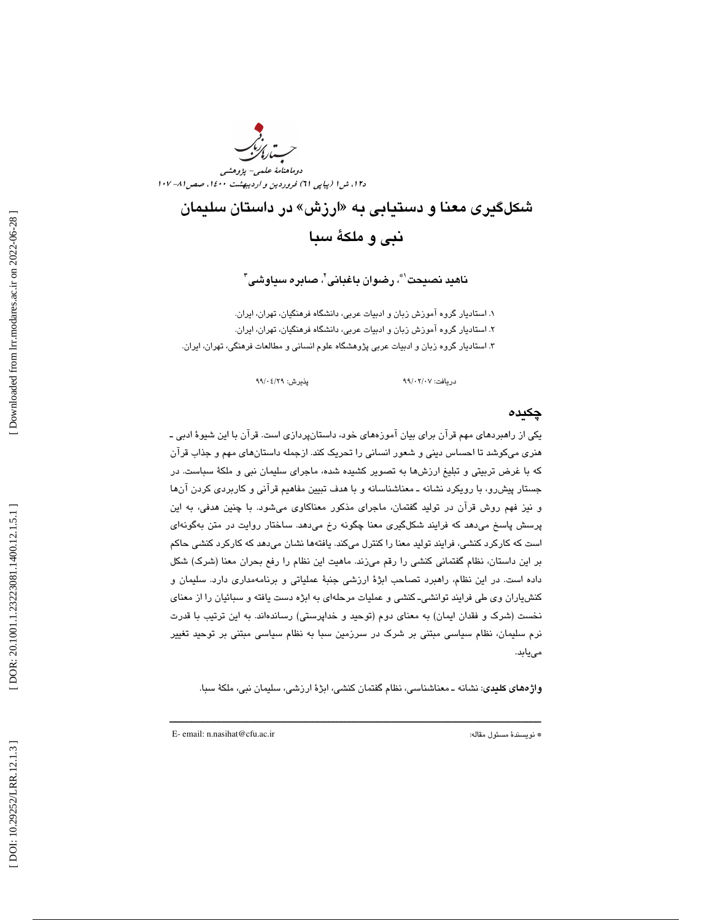دوماهنامة علمي- پژوهشي دا، ش ا (پياپي 11) فروردين و ارديبهشت ۱٤٠٠، صص ٨١- ١٠٧

> شکلگيری معنا و دستيابی به «ارزش» در داستان سليمان نبي و ملكة سبا

> > ناهيد نصيحت"، رضوان باغباني"، صابره سياوشي"

 $0.107 \cdot 7/00$  در مافت:

. استاديار گروه آموزش زبان و ادبيات عربي، دانشگاه فرهنگيان، تهران، ايران. 1 . استاديار گروه آموزش زبان و ادبيات عربي، دانشگاه فرهنگيان، تهران، ايران. 2 ۳. استاديار گروه زبان و ادبيات عربي پژوهشگاه علوم انساني و مطالعات فرهنگي، تهران، ايران.

پذيرش: ٩٩/٠٤/٢٩

#### چكيده

يكي از راهبردهاي مهم قرآن براي بيان آموزههاي خود، داستانپردازي است. قرآن با اين شيوة ادبي ـ هنري ميكوشد تا احساس ديني و شعور انساني را تحريك كند. ازجمله داستانهاي مهم و جذاب قرآن كه با غرض تربيتي و تبليغ ارزشها به تصوير كشيده شده، ماجراي سليمان نبي و ملكة سباست. در جستار پيشرو، با رويكرد نشانه ـ معناشناسانه و با هدف تبيين مفاهيم قرآني و كاربردي كردن آنها و نيز فهم روش قرآن در توليد گفتمان، ماجراي مذكور معناكاوي ميشود. با چنين هدفي، به اين پرسش پاسخ ميدهد كه فرايند شكلگيري معنا چگونه رخ ميدهد. ساختار روايت در متن بهگونهاي است كه كاركرد كنشي، فرايند توليد معنا را كنترل ميكند. يافتهها نشان ميدهد كه كاركرد كنشي حاكم بر اين داستان، نظام گفتماني كنشي را رقم ميزند. ماهيت اين نظام را رفع بحران معنا (شرك) شكل داده است. در اين نظام، راهبرد تصاحب ابژة ارزشي جنبة عملياتي و برنامهمداري دارد. سليمان و كنشياران وي طي فرايند توانشيـ كنشي و عمليات مرحلهاي به ابژه دست يافته و سبائيان را از معناي نخست (شرك و فقدان ايمان) به معناي دوم (توحيد و خداپرستي) رساندهاند. به اين ترتيب با قدرت نرم سليمان، نظام سياسي مبتني بر شرك در سرزمين سبا به نظام سياسي مبتني بر توحيد تغيير مييابد .

واژههاي كليدي: نشانه ـ معناشناسي، نظام گفتمان كنشي، ابژة ارزشي، سليمان نبي، ملكة سبا.

ــــــــــــــــــــــــــــــــــــــــــــــــــــــــــــــــــــــــــــــــــــــــــــــــــــــــــــــــــــــــــــــــــــــــــ

E- email: n.nasihat@cfu.ac.ir :مقاله مسئول نويسندة\*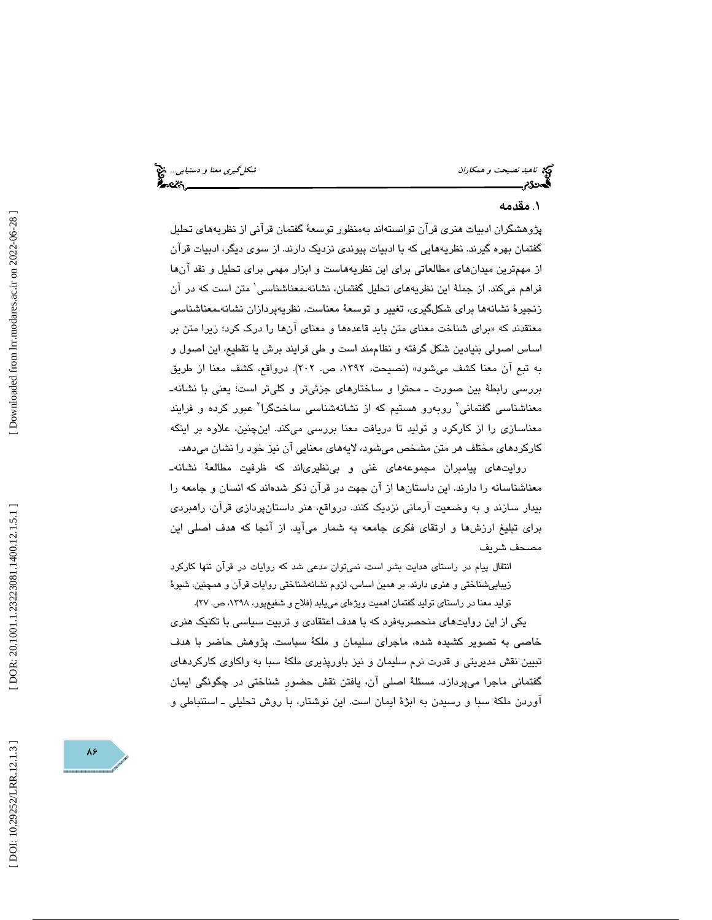# ناهيد *نصيحت و همكاران شكل كيرى معنا و دستيابي..*. پيچ<br>این همچنان شكل مستقل بين مستقل بين استخدام دانشمان شكل كشكل كشكل كشكل كشكل كشكل مستقل بين استخدام كرد.<br>**این م**ستقل بين استخدام بين استخدام بين استخدام بين استخدام بين

### . مقدمه 1

پژوهشگران ادبيات هنري قرآن توانستهاند بهمنظور توسعة گفتمان قرآني از نظريههاي تحليل گفتمان بهره گيرند. نظريههايي كه با ادبيات پيوندي نزديك دارند. از سوي ديگر، ادبيات قرآن از مهمترين ميدانهاي مطالعاتي براي اين نظريههاست و ابزار مهمي براي تحليل و نقد آنها فراهم میکند. از جملهٔ این نظریههای تحلیل گفتمان، نشانهـمعناشناسی' متن است که در آن زنجيرة نشانهها براي شكلگيري، تغيير و توسعة معناست. نظريهپردازان نشانهـمعناشناسي معتقدند كه «براي شناخت معناي متن بايد قاعدهها و معناي انها را درك كرد؛ زيرا متن بر اساس اصولي بنيادين شكل گرفته و نظاممند است و طي فرايند برش يا تقطيع، اين اصول و به تبع آن معنا كشف مىشود» (نصيحت، ١٣٩٢، ص. ٢٠٢). درواقع، كشف معنا از طريق<br>بررسي رابطهٔ بين صورت ـ محتوا و ساختارهاي جزئيتر و كليتر است؛ يعني با نشانهـ معناشناسی گفتمانی<sup>٬</sup> روبهرو هستیم که از نشانهشناسی ساختگرا<sup>۳</sup> عبور کرده و فرایند معناسازي را از كاركرد و توليد تا دريافت معنا بررسي ميكند. اينچنين، علاوه بر اينكه

کارکردهای مختلف هر متن مشخص میشود، لایههای معنایی آن نیز خود را نشان میدهد.<br>روایتهای پیامبران مجموعههای غنی و بینظیریاند که ظرفیت مطالعهٔ نشانهـ معناشناسانه را دارند. اين داستانها از آن جهت در قرآن ذكر شدهاند كه انسان و جامعه را بيدار سازند و به وضعيت آرماني نزديك كنند. درواقع ، هنر داستانپردازي قرآن، راهبردي براي تبليغ ارزشها و ارتقاي فكري جامعه به شمار ميآيد. از آنجا كه هدف اصلي اين مصحف شريف

انتقال پيام در راستاي هدايت بشر است، نميتوان مدعي شد كه روايات در قرآن تنها كاركرد زيباييشناختي و هنري دارند. بر همين اساس، لزوم نشانهشناختي روايات قرآن و همچنين، شيوة

توليد معنا در راستاي توليد گفتمان اهميت ويژهاي مييابد (فلاح و شفيعپور، ١٣٩٨، ص. ٢٧).

يكي از اين روايتهاي منحصربهفرد كه با هدف اعتقادي و تربيت سياسي با تكنيك هنري خاصي به تصوير كشيده شده، ماجراي سليمان و ملكة سباست. پژوهش حاضر با هدف تبيين نقش مديريتي و قدرت نرم سليمان و نيز باورپذيري ملكة سبا به واكاوي كاركردهاي گفتماني ماجرا ميپردازد. مسئلة اصلي آن، يافتن نقش حضورِ شناختي در چگونگي ايمان 1 آوردن ملكة سبا و رسيدن به ابژة ايمان است. اين نوشتار، با روش تحليلي ـ استنباطي و

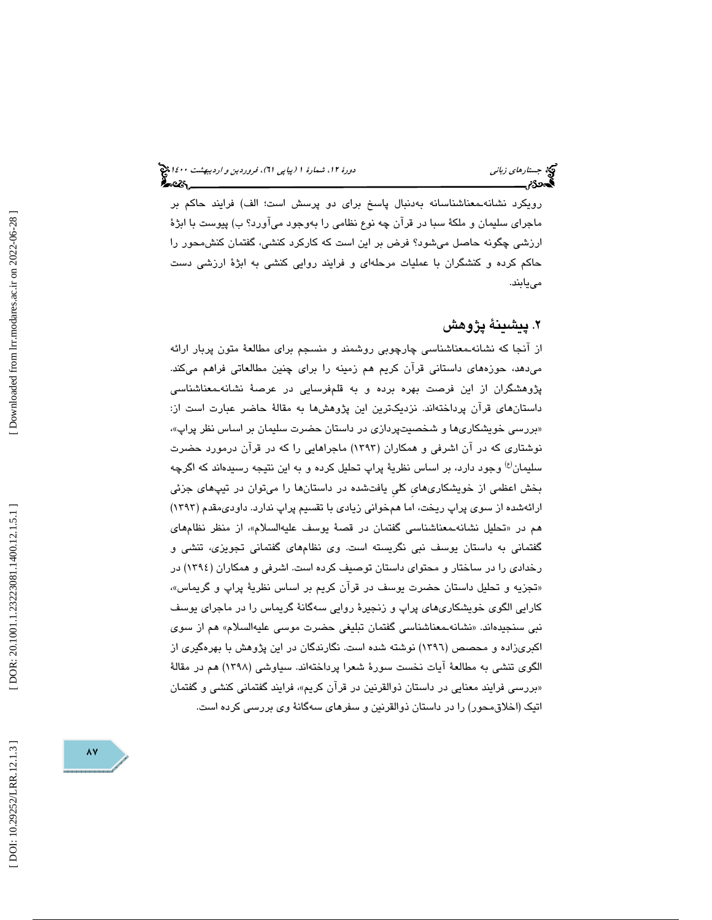رويكرد نشانهـمعناشناسانه بهدنبال پاسخ براي دو پرسش است؛ الف) فرايند حاكم بر ماجراي سليمان و ملكة سبا در قرآن چه نوع نظامي را بهوجود ميآورد؟ ب) پيوست با ابژة ارزشي چگونه حاصل ميشود؟ فرض بر اين است كه كاركرد كنشي، گفتمان كنشمحور را حاكم كرده و كنشگران با عمليات مرحلهاي و فرايند روايي كنشي به ابژة ارزشي دست مييابند.

# . پيشينة پژوهش 2

از آنجا كه نشانهـمعناشناسي چارچوبي روشمند و منسجم براي مطالعة متون پربار ارائه ميدهد، حوزههاي داستاني قرآن كريم هم زمينه را براي چنين مطالعاتي فراهم ميكند. پژوهشگران از اين فرصت بهره برده و به قلمفرسايي در عرصة نشانهـمعناشناسي داستانهاي قرآن پرداختهاند. نزديكترين اين پژوهشها به مقالة حاضر عبارت است از: «بررسی خویشکاری۵ا و شخصیتپردازی در داستان حضرت سلیمان بر اساس نظر پراپ»، نوشتاري كه در آن اشرفي و همكاران (1393) ماجراهايي را كه در قرآن درمورد حضرت سليمان<sup>(ع)</sup> وجود دارد، بر اساس نظريهٔ پراپ تحليل كرده و به اين نتيجه رسيدهاند كه اگرچه بخش اعظمي از خويشكاريهايِ كليِ يافتشده در داستانها را ميتوان در تيپهاي جزئي ارائهشده از سوي پراپ ريخت، اما همخواني زيادي با تقسيم پراپ ندارد. داوديمقدم (1393) هم در «تحلیل نشانهـمعناشناسـی گفتمان در قصـهٔ یوسف علیهالسلام»، از منظر نظامهای گفتماني به داستان يوسف نبي نگريسته است. وي نظامهاي گفتماني تجويزي، تنشي و رخدادي را در ساختار و محتواي داستان توصيف كرده است. اشرفي و همكاران (1394) در «تجزيه و تحليل داستان حضرت يوسف در قران كريم بر اساس نظريهٔ پراپ و گريماس»، كارايي الگوي خويشكاريهاي پراپ و زنجيرة روايي سهگانة گريماس را در ماجراي يوسف نبی سنجیدهاند. «نشانهـمعناشناسی گفتمان تبلیغی حضرت موسـی علیهالسىلام» هم از سـوی اكبريزاده و محصص (1396) نوشته شده است. نگارندگان در اين پژوهش با بهرهگيري از الگوي تنشي به مطالعة آيات نخست سورة شعرا پرداختهاند. سياوشي (1398) هم در مقالة «بررسی فرایند معنایی در داستان ذوالقرنین در قران كریم»، فرایند گفتمانی كنشی و گفتمان اتيك (اخلاقمحور) را در داستان ذوالقرنين و سفرهاي سهگانة وي بررسي كرده است.

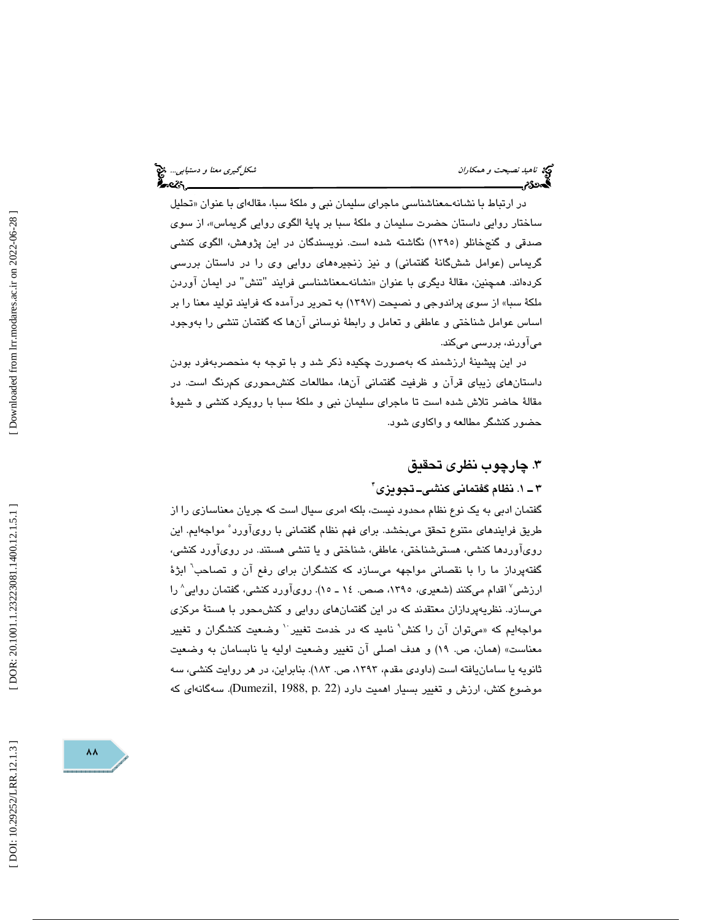ناهيد نصيحت و همكاران شكلگيري معنا و دستيابي... اين شكلگيري معنا و دستيابي... اين شكلگيري معنا و دستيابي... اي<br>السیمان شكل است.<br>السیمان شكل است.

در ارتباط با نشانهـمعناشناسي ماجراي سليمان نبي و ملكهٔ سبا، مقالهاي با عنوان «تحليل ساختار روايي داستان حضرت سليمان و ملكهٔ سبا بر پايهٔ الگوی روايي گريماس»، از سوی صدقی و گنجخانلو (۱۳۹۰) نگاشته شده است. نویسندگان در این پژوهش، الگوی كنشی گريماس (عوامل ششگانة گفتماني) و نيز زنجيرههاي روايي وي را در داستان بررسي کردهاند. همچنین، مقالهٔ دیگری با عنوان «نشانهـمعناشناسـی فرایند "تنش" در ایمان آوردن ملكة سبا» از سوي پراندوجي و نصيحت (1397) به تحرير درآمده كه فرايند توليد معنا را بر اساس عوامل شناختي و عاطفي و تعامل و رابطة نوساني آنها كه گفتمان تنشي را بهوجود ميآورند، بررسي ميكند.

در اين پيشينة ارزشمند كه بهصورت چكيده ذكر شد و با توجه به منحصربهفرد بودن داستانهاي زيباي قرآن و ظرفيت گفتماني آنها، مطالعات كنشمحوري كمرنگ است. در مقالة حاضر تلاش شده است تا ماجراي سليمان نبي و ملكة سبا با رويكرد كنشي و شيوة حضور كنشگر مطالعه و واكاوي شود.

### . چارچوب نظري تحقيق 3

### ۳ ــ ۱. نظام گفتمانی كنشى\_ تجويزى ً'

گفتمان ادبي به يك نوع نظام محدود نيست، بلكه امري سيال است كه جريان معناسازي را از طريق فرايندهاي متنوع تحقق ميبخشد. براي فهم نظام گفتماني با رويآورد 5 مواجهايم. اين رويآوردها كنشي، هستيشناختي، عاطفي، شناختي و يا تنشي هستند. در رويآورد كنشي، گفتهپرداز ما را با نقصانی مواجهه میسازد كه كنشگران برای رفع آن و تصاحب<sup>٬</sup> ابژهٔ ارزشي ْ اقدام مىكنند (شعيرى، ١٣٩٥، صص. ١٤ ـ ١٥). روىآورد كنشى، گفتمان روايى ْ را ميسازد. نظريهپردازان معتقدند كه در اين گفتمانهاي روايي و كنشمحور با هستة مركزي مواجهايم كه «مىتوان آن را كنش' ناميد كه در خدمت تغيير `` وضعيت كنشگران و تغيير معناست» (همان، ص. ١٩) و هدف اصلي ان تغيير وضعيت اوليه يا نابسامان به وضعيت ثانويه يا سامانيافته است (داودي مقدم، ١٣٩٣، ص. ١٨٣). بنابراين، در هر روايت كنشي، سه موضوع كنش، ارزش و تغيير بسيار اهميت دارد (Dumezil, 1988, p. 22). سەگانەاي كە

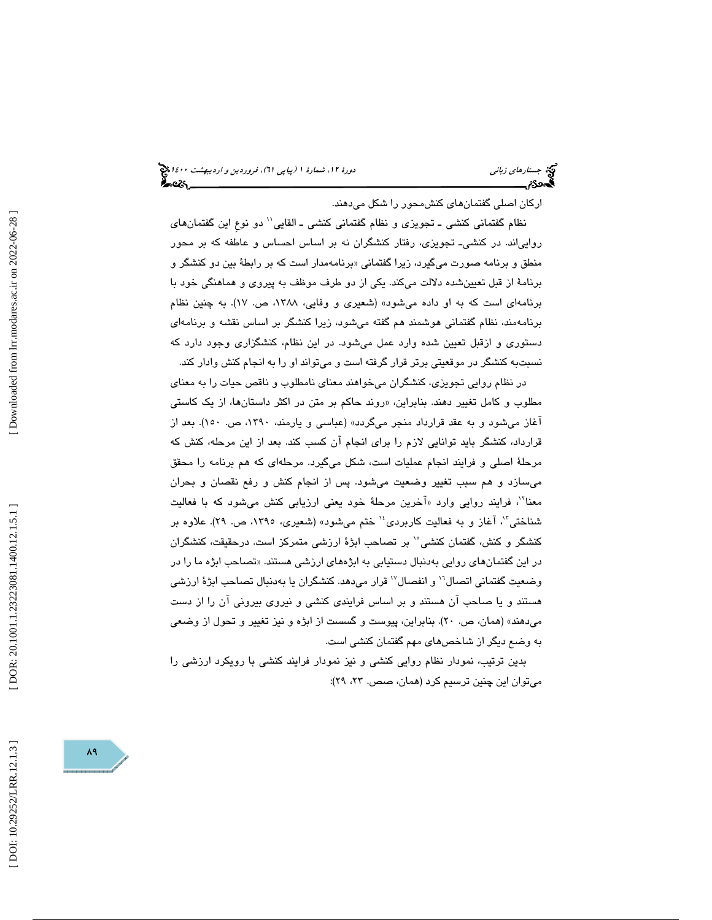اركان اصلي گفتمانهاي كنشمحور را شكل ميدهند.

نظام گفتماني كنشي ـ تجويزي و نظام گفتماني كنشي ـ القايي'' دو نوعِ اين گفتمان&اي روايياند. در كنشيـ تجويزي، رفتار كنشگران نه بر اساس احساس و عاطفه كه بر محور منطق و برنامه صورت میگیرد، زیرا گفتمانی «برنامهمدار است كه بر رابطهٔ بین دو كنشگر و برنامة از قبل تعيينشده دلالت ميكند. يكي از دو طرف موظف به پيروي و هماهنگي خود با برنامهاي است كه به او داده ميشود» (شعيري و وفايي، ،1388 ص. 17). به چنين نظام برنامهمند، نظام گفتماني هوشمند هم گفته ميشود، زيرا كنشگر بر اساس نقشه و برنامهاي دستوري و ازقبل تعيين شده وارد عمل ميشود. در اين نظام، كنشگزاري وجود دارد كه نسبتبه كنشگر در موقعيتي برتر قرار گرفته است و ميتواند او را به انجام كنش وادار كند.

در نظام روايي تجويزي، كنشگران ميخواهند معناي نامطلوب و ناقص حيات را به معناي مطلوب و كامل تغيير دهند. بنابراين، «روند حاكم بر متن در اكثر داستانها، از يک كاستي آغاز ميشود و به عقد قرارداد منجر ميگردد» (عباسي و يارمند، ،1390 ص. 150). بعد از قرارداد، كنشگر بايد توانايي لازم را براي انجام آن كسب كند. بعد از اين مرحله، كنش كه مرحلة اصلي و فرايند انجام عمليات است، شكل ميگيرد. مرحلهاي كه هم برنامه را محقق ميسازد و هم سبب تغيير وضعيت ميشود. پس از انجام كنش و رفع نقصان و بحران معنا"، فرايند روايي وارد «آخرين مرحلهٔ خود يعني ارزيابي كنش ميشود كه با فعاليت شناختي"، أغاز و به فعاليت كاربردي<sup>،</sup>' ختم ميشود» (شعيري، ١٣٩٥، ص. ٢٩). علاوه بر كنشگر و كنش، گفتمان كنشي ْ بر تصاحب ابژهٔ ارزشي متمركز است. درحقيقت، كنشگران در اين گفتمانهای روايی بهدنبال دستيابی به ابژههای ارزشی هستند. «تصاحب ابژه ما را در وضعیت گفتمانی اتصال'` و انفصال'` قرار میدهد. کنشگران یا بهدنبال تصاحب ابژهٔ ارزشی هستند و يا صاحب آن هستند و بر اساس فرايندي كنشي و نيروي بيروني آن را از دست ميدهند» (همان، ص. 20). بنابراين، پيوست و گسست از ابژه و نيز تغيير و تحول از وضعي به وضع ديگر از شاخصهاي مهم گفتمان كنشي است.

بدين ترتيب ، نمودار نظام روايي كنشي و نيز نمودار فرايند كنشي با رويكرد ارزشي را ميتوان اين چنين ترسيم كرد (همان، صص. ٢٣، ٢٩):

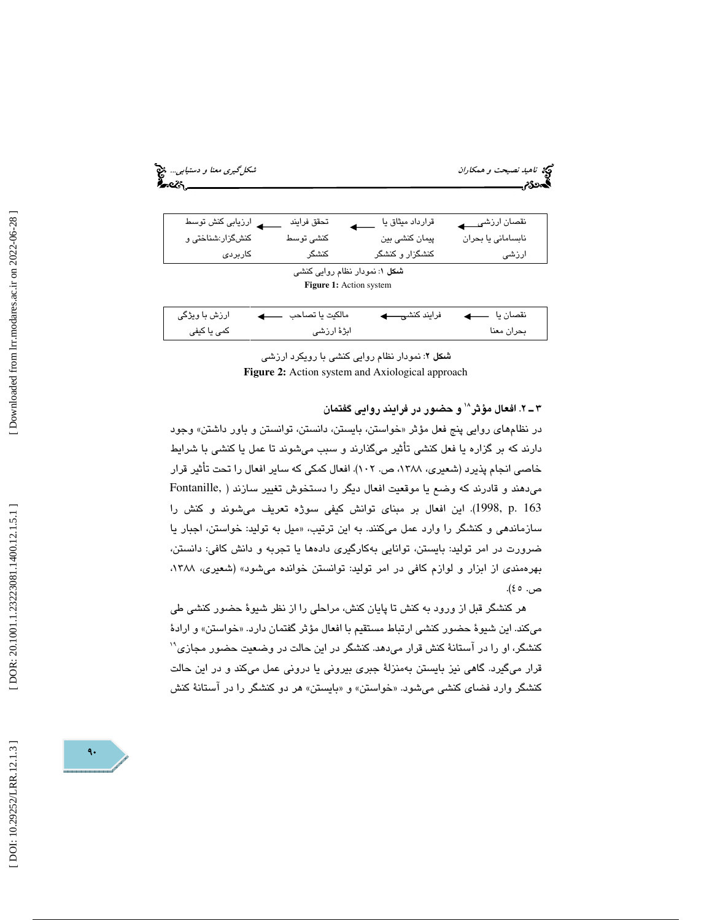| شکل گیری معنا و دستیابی<br>ç.<br>seis. |                                                          |                            | <b>پج</b> نامی <i>د نصیحت و همکاران</i><br>گەدى |
|----------------------------------------|----------------------------------------------------------|----------------------------|-------------------------------------------------|
| ارزیابی کنش توسط                       | تحقق فرايند                                              | قرارداد میثاق یا           | نقصان ارزشي                                     |
| کنشگزار:شناختی و                       | كنشى توسط                                                | پیمان کنشی بین             | نابسامانى يا بحران                              |
| كاربردى                                | كنشگر                                                    | کنشگزار و کنشگر            | ارزشی                                           |
|                                        | شکل ۱: نمودار نظام روایی کنشی<br>Figure 1: Action system |                            |                                                 |
| ارزش با ویژگی                          | مالكيت يا تصاحب                                          | فرايند كنشي <del>ن ک</del> | نقصان يا  ——                                    |
| کمی یا کیفی                            | ابژهٔ ارزشی                                              |                            | بحران معنا                                      |

شكل 2: نمودار نظام روايي كنشي با رويكرد ارزشي **Figure 2:** Action system and Axiological approach

2 ـ 3 . افعال مؤثر 18 و حضور در فرايند روايي گفتمان

در نظامهای روایی پنج فعل مؤثر «خواستن، بایستن، دانستن، توانستن و باور داشتن» وجود دارند كه بر گزاره يا فعل كنشي تأثير ميگذارند و سبب ميشوند تا عمل يا كنشي با شرايط خاصي انجام پذيرد (شعيري، ١٣٨٨، ص. ١٠٢). افعال كمكي كه ساير افعال را تحت تأثير قرار ميدهند و قادرند كه وضع يا موقعيت افعال ديگر را دستخوش تغيير سازند ( ,Fontanille 163 .p 1998,(. اين افعال بر مبناي توانش كيفي سوژه تعريف ميشوند و كنش را سازماندهی و كنشگر را وارد عمل میكنند. به این ترتیب، «میل به تولید: خواستن، اجبار یا ضرورت در امر توليد: بايستن، توانايي بهكارگيري دادهها يا تجربه و دانش كافي: دانستن، بهرهمندي از ابزار و لوازم كافي در امر توليد: توانستن خوانده ميشود» (شعيري، ،1388 ص. ٤٥).

هر كنشگر قبل از ورود به كنش تا پايان كنش، مراحلي را از نظر شيوة حضور كنشي طي میكند. این شیوهٔ حضور كنشی ارتباط مستقیم با افعال مؤثر گفتمان دارد. «خواستن» و ارادهٔ 19 كنشگر، او را در آستانة كنش قرار ميدهد. كنشگر در اين حالت در وضعيت حضور مجازي قرار ميگيرد. گاهي نيز بايستن بهمنزلة جبري بيروني يا دروني عمل ميكند و در اين حالت كنشگر وارد فضاى كنشى مىشود. «خواستن» و «بايستن» هر دو كنشگر را در استانهٔ كنش

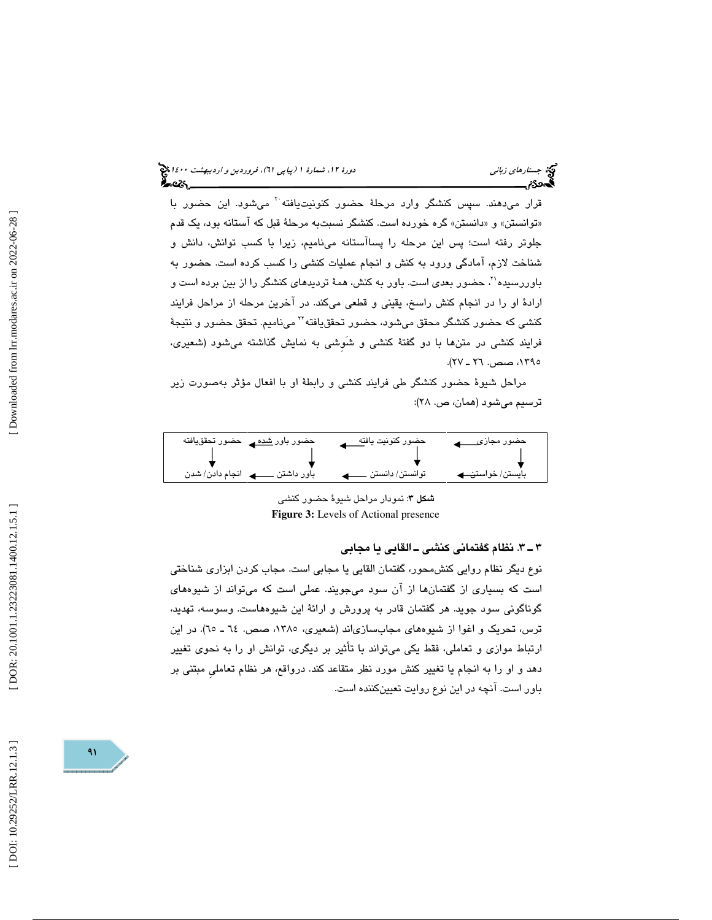قرار مي دهند. سپس كنشگر وارد مرحلهٔ حضور كنونيتيافته<sup>.۲</sup> مي شود. اين حضور با «توانستن» و «دانستن» گره خورده است. كنشگر نسبتبه مرحلهٔ قبل كه استانه بود، یک قدم جلوتر رفته است؛ پس اين مرحله را پساآستانه ميناميم، زيرا با كسب توانش، دانش و شناخت لازم، آمادگي ورود به كنش و انجام عمليات كنشي را كسب كرده است. حضور به 21 باوررسيده ، حضور بعدي است. باور به كنش، همة ترديدهاي كنشگر را از بين برده است و ارادة او را در انجام كنش راسخ، يقيني و قطعي ميكند. در آخرين مرحله از مراحل فرايند كنشي كه حضور كنشگر محقق ميشود، حضور تحققيافته™ ميناميم. تحقق حضور و نتيجهٔ فرايند كنشي در متنها با دو گفتة كنشي و شَوِشي به نمايش گذاشته ميشود (شعيري، ،1395 صص. ـ 26 )27.

مراحل شيوة حضور كنشگر طي فرايند كنشي و رابطة او با افعال مؤثر بهصورت زير ترسيم ميشود (همان، ص. ٢٨):

| حضور باور <u>شده م</u> ے حضور تحقق یافته            | حضور كنونيت ياف <u>ته</u> | حضور مجاز <i>ی</i> |
|-----------------------------------------------------|---------------------------|--------------------|
|                                                     |                           |                    |
| <b>ے</b> انجام دادن/ شدن<br>باور داشتن <sub>-</sub> | توانستن/ دانستن           | بايستن/خواستن پ    |

شكل 3: نمودار مراحل شيوة حضور كنشي **Figure 3:** Levels of Actional presence

3 ـ 3 . نظام گفتماني كنشي ـ القايي يا مجابي

نوع ديگر نظام روايي كنشمحور، گفتمان القايي يا مجابي است. مجاب كردن ابزاري شناختي است كه بسياري از گفتمانها از آن سود ميجويند. عملي است كه ميتواند از شيوههاي گوناگوني سود جويد. هر گفتمان قادر به پرورش و ارائة اين شيوههاست. وسوسه، تهديد، ترس، تحريك و اغوا از شيوههاي مجابسازياند (شعيري، ١٣٨٥، صص. ٦٤ ـ ٦٥). در اين ارتباط موازي و تعاملي، فقط يكي ميتواند با تأثير بر ديگري، توانش او را به نحوي تغيير دهد و او را به انجام يا تغيير كنش مورد نظر متقاعد كند. درواقع، هر نظام تعامليِ مبتني بر باور است. آنچه در اين نوع روايت تعيينكننده است .

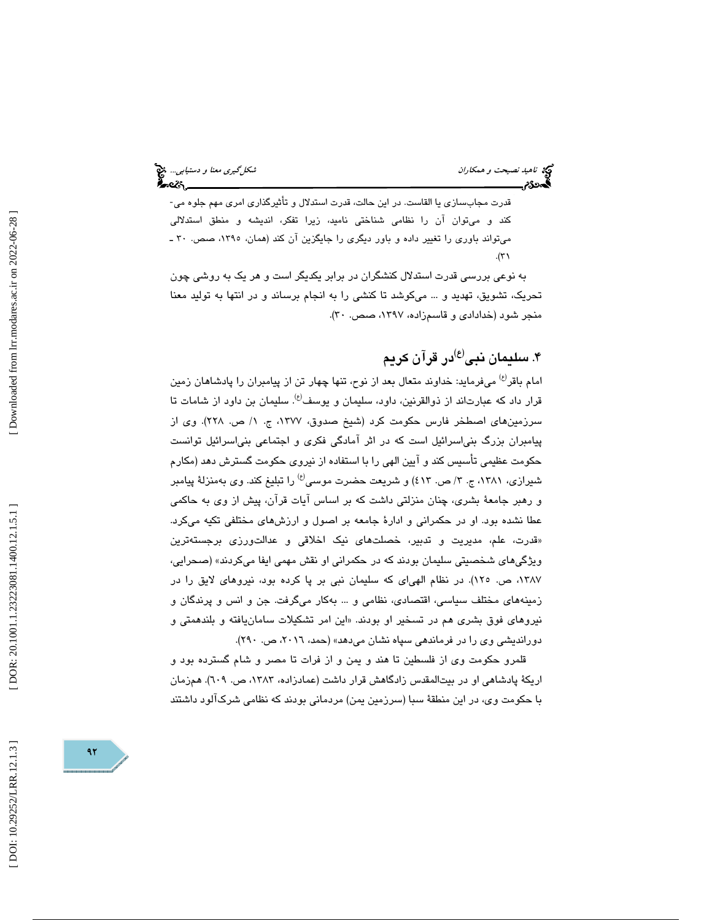قدرت مجابسازي يا القاست. در اين حالت، قدرت استدلال و تأثيرگذاري امري مهم جلوه مي- كند و ميتوان آن را نظامي شناختي ناميد، زيرا تفكر، انديشه و منطق استدلالي ميتواند باوري را تغيير داده و باور ديگري را جايگزين آن كند (همان، ،1395 صص. ـ 30  $\mathcal{N}$ 

 به نوعي بررسي قدرت استدلال كنشگران در برابر يكديگر است و هر يك به روشي چون تحريك، تشويق، تهديد و ... ميكوشد تا كنشي را به انجام برساند و در انتها به توليد معنا منجر شود (خدادادي و قاسمزاده، ۱۳۹۷، صص. ۳۰).

### ۴. سليمان نبى<sup>(ع)</sup>در قرآن كريم

امام باقر<sup>رع،</sup> میفرماید: خداوند متعال بعد از نوح، تنها چهار تن از پیامبران را پادشاهان زمین قرار داد که عبارتاند از ذوالقرنين، داود، سليمان و يوسف<sup>(ع)</sup>. سليمان بن داود از شامات تا سرزمينهاي اصطخر فارس حكومت كرد (شيخ صدوق، ،1377 ج. 1/ ص. 228). وي از پيامبران بزرگ بنياسرائيل است كه در اثر آمادگي فكري و اجتماعي بنياسرائيل توانست حكومت عظيمي تأسيس كند و آيين الهي را با استفاده از نيروي حكومت گسترش دهد (مكارم شيرازي، ١٣٨١، ج. ٣/ ص. ٤١٣) و شريعت حضرت موسى<sup>(ع)</sup> را تبليغ كند. وي بهمنزلة پيامبر و رهبر جامعة بشري، چنان منزلتي داشت كه بر اساس آيات قرآن، پيش از وي به حاكمي عطا نشده بود. او در حكمراني و ادارة جامعه بر اصول و ارزشهاي مختلفي تكيه ميكرد. «قدرت، علم، مديريت و تدبير، خصلتها*ی* نيک اخلاقی و عدالتورز*ی* برجستهترين ويژگيهاي شخصيتي سليمان بودند كه در حكمراني او نقش مهمي ايفا ميكردند » (صحرايي، ١٣٨٧، ص. ١٢٥). در نظام الهياي كه سليمان نبي بر پا كرده بود، نيروهاي لايق را در زمينههاي مختلف سياسي، اقتصادي، نظامي و ... بهكار ميگرفت. جن و انس و پرندگان و نيروهاي فوق بشري هم در تسخير او بودند. «اين امر تشكيلات سامانيافته و بلندهمتي و دورانديشي وي را در فرماندهي سپاه نشان ميدهد» (حمد، ،2016 ص. 290 ).

قلمرو حكومت وي از فلسطين تا هند و يمن و از فرات تا مصر و شام گسترده بود و اريكهٔ پادشاهي او در بيتالمقدس زادگاهش قرار داشت (عمادزاده، ۱۳۸۳، ص. ٦٠٩). همزمان با حكومت وي، در اين منطقة سبا (سرزمين يمن) مردماني بودند كه نظامي شركآلود داشتند

 $97$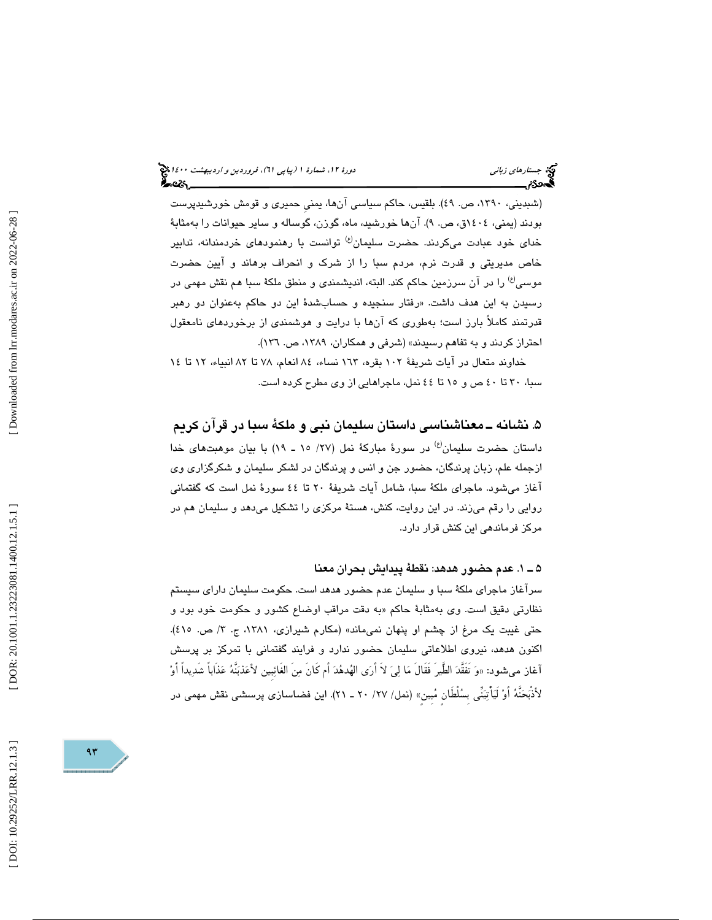(شبدینی، ۱۳۹۰، ص. ٤٩). بلقیس، حاکم سیاسی انها، یمنی حمیری و قومش خورشیدپرست بودند (يمني، ١٤٠٤ق، ص. ٩). انها خورشيد، ماه، گوزن، گوساله و ساير حيوانات را بهمثابهٔ خدای خود عبادت میکردند. حضرت سلیمان<sup>(ع)</sup> توانست با رهنمودهای خردمندانه، تدابیر خاص مديريتي و قدرت نرم، مردم سبا را از شرك و انحراف برهاند و آيين حضرت موسى<sup>(ع)</sup> را در آن سرزمين حاكم كند. البته، انديشمندي و منطق ملكهٔ سبا هم نقش مهمي در رسيدن به اين هدف داشت. «رفتار سنجيده و حسابشدۀ اين دو حاكم بهعنوان دو رهبر قدرتمند كاملاً بارز است؛ بهطوري كه آنها با درايت و هوشمندي از برخوردهاي نامعقول احتراز كردند و به تفاهم رسیدند» (شرفی و همكاران، ۱۳۸۹، ص. ۱۳۲).

خداوند متعال در آيات شريفة 102 بقره، 163 نساء، 84 انعام، 78 تا 82 انبياء، 12 تا 14 سبا، 30 تا 40 ص و 15 تا 44 نمل، ماجراهايي از وي مطرح كرده است.

۵. نشانه ــ معناشناسی داستان سلیمان نبی و ملکهٔ سبا در قرآن کریم داستان حضرت سليمان<sup>(ع)</sup> در سورهٔ مباركهٔ نمل (٢٧/ ١٥ ـ ١٩) با بيان موهبتهاي خدا ازجمله علم، زبان پرندگان، حضور جن و انس و پرندگان در لشكر سليمان و شكرگزاري وي آغاز ميشود. ماجراي ملكة سبا، شامل آيات شريف ة 20 تا 44 سورة نمل است كه گفتماني روايي را رقم ميزند. در اين روايت، كنش، هستة مركزي را تشكيل ميدهد و سليمان هم در مركز فرماندهي اين كنش قرار دارد.

1 ـ 5 . عدم حضور هدهد: نقطة پيدايش بحران معنا

سرآغاز ماجراي ملكة سبا و سليمان عدم حضور هدهد است. حكومت سليمان داراي سيستم نظارتی دقیق است. وی بهمثابهٔ حاکم «به دقت مراقب اوضاع کشور و حکومت خود بود و حتي غيبت يک مرغ از چشم او پنهان نميماند» (مکارم شيرازي، ۱۳۸۱، ج. ۳/ ص. ٤١٥). اكنون هدهد، نيروي اطلاعاتي سليمان حضور ندارد و فرايند گفتماني با تمركز بر پرسش اغاز ميشود: «وَ تفقدَ الطير فقال مَا لِيَ لاَ ارَى الْهُدهُدَ امْ كَانَ مِن الغَائِبِين لأَعَذُبَنَهُ عَذَاباً شَدِيداً أَوْ لأذَبَحَنَهُ أوْ لَيَأْتِيَنِّي بِسُلْطَانٍ مُبِينٍ» (نمل/ ٢٧/ ٢٠ ـ ٢١). اين فضاسازي پرسشمي نقش مهمي در

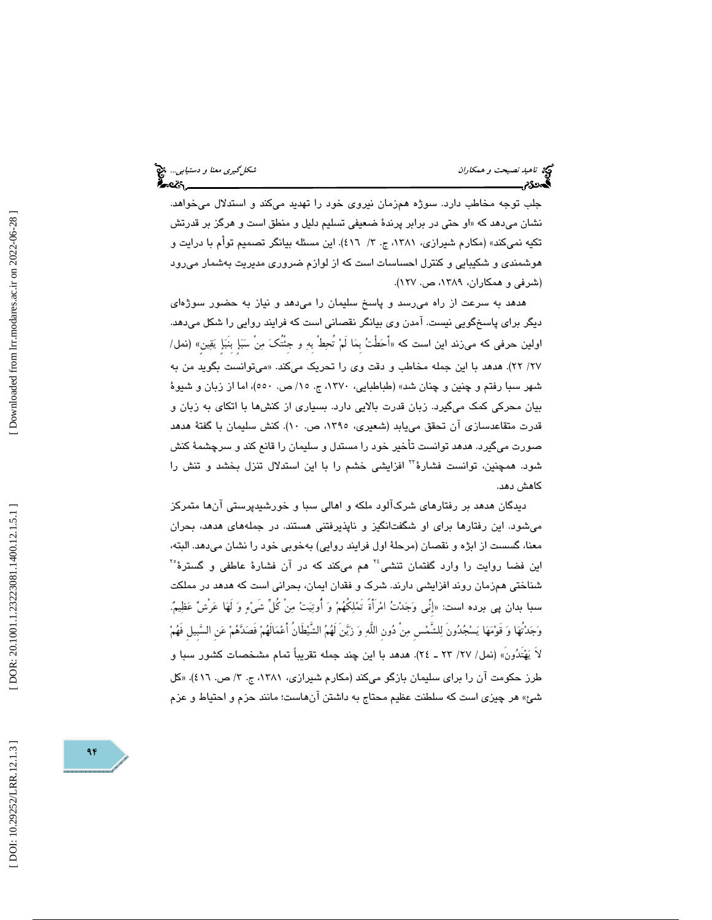جلب توجه مخاطب دارد. سوژه همزمان نيروي خود را تهديد ميكند و استدلال ميخواهد. نشان میدهد که «او حتی در برابر پرندهٔ ضعیفی تسلیم دلیل و منطق است و هرگز بر قدرتش تكيه نميكند» (مكارم شيرازي، ١٣٨١، ج. ٣/ ٤١٦). اين مسئله بيانگر تصميم توأم با درايت و هوشمندي و شكيبايي و كنترل احساسات است كه از لوازم ضروري مديريت بهشمار ميرود (شرفي و همكاران، ،1389 ص. 127 ).

هدهد به سرعت از راه ميرسد و پاسخ سليمان را ميدهد و نياز به حضور سوژهاي ديگر براي پاسخگويي نيست. آمدن وي بيانگر نقصاني است كه فرايند روايي را شكل ميدهد. اولين حرفى كه مىزند اين است كه «احَطْتُ بمَا لمْ تحِطْ بهِ و جئتكَ مِن سَبَإٍ بنبَإٍ يَقِينٍ» (نمل/ ميتوانست بگويد من به /27 )22 . هدهد با اين جمله مخاطب و دقت وي را تحريك ميكند. « شهر سبا رفتم و چنين و چنان شد» (طباطبايي، ١٣٧٠، ج. ١٥/ ص. ٥٥٠)، اما از زبان و شيوهٔ بيان محركي كمك ميگيرد. زبان قدرت بالايي دارد. بسياري از كنشها با اتكاي به زبان و قدرت متقاعدسازي آن تحقق مييابد (شعيري، ،1395 ص. 10). كنش سليمان با گفتة هدهد صورت ميگيرد. هدهد توانست تأخير خود را مستدل و سليمان را قانع كند و سرچشمة كنش شود. همچنين، توانست فشارهٔ " افزايشي خشم را با اين استدلال تنزل بخشد و تنش را كاهش دهد.

ديدگان هدهد بر رفتارهاي شركآلود ملكه و اهالي سبا و خورشيدپرستي آنها متمركز ميشود. اين رفتارها براي او شگفتانگيز و ناپذيرفتني هستند. در جملههاي هدهد، بحران معنا، گسست از ابژه و نقصان (مرحلة اول فرايند روايي) بهخوبي خود را نشان ميدهد. البته ، این فضا روایت را وارد گفتمان تنشی<sup>؛</sup> هم میکند که در آن فشارهٔ عاطفی و گسترهٔ<sup>٬٬</sup> شناختي همزمان روند افزايشي دارند. شرك و فقدان ايمان، بحراني است كه هدهد در مملكت سبا بدان پي برده است: «إنِّي وَجَدْتُ امْرَأَةً تَمْلِكُهُمْ وَ أُوتِيَتْ مِنْ كُلِّ شَيْءٍ وَ لَهَا عَرْشٌ عَظِيمٌ. وَجَدْتُهَا وَ قَوْمَهَا يَسْجُدُونَ لِلشَّمْسِ مِنْ دُونِ اللَّهِ وَ زَيَّنَ لَهُمُ الشَّيْطَانُ أَعْمَالَهُمْ فَصَدَّهُمْ عَنِ السَّبِيلِ فَهُمْ لاَ يَهْتَدُونَ» (نمل/ ٢٧/ ٢٣ ـ ٢٤). هدهد با اين چند جمله تقريباً تمام مشخصات كشور سبا و طرز حکومت ان را برای سلیمان بازگو میکند (مکارم شیرازی، ۱۳۸۱، ج. ۳/ ص. ٤١٦). «کل شئ» هر چيزى است كه سلطنت عظيم محتاج به داشتن آنهاست؛ مانند حزم و احتياط و عزم

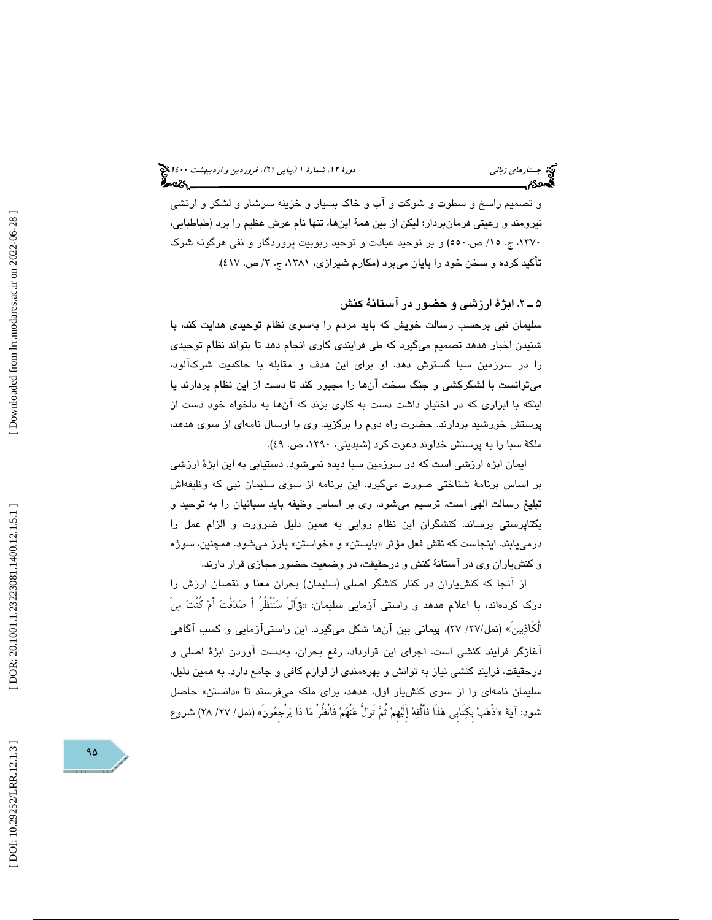و تصميم راسخ و سطوت و شوكت و آب و خاك بسيار و خزينه سرشار و لشكر و ارتشى نيرومند و رعيتي فرمانبردار؛ ليكن از بين همهٔ اينها، تنها نام عرش عظيم را برد (طباطبايي، ،1370 ج. 15/ ص550.) و بر توحيد عبادت و توحيد ربوبيت پروردگار و نفي هرگونه شرك تاكيد كرده و سخن خود را پايان مىبرد (مكارم شيرازى، ١٣٨١، ج. ٣/ ص. ٤١٧).

#### 2 ـ 5 . ابژة ارزشي و حضور در آستانة كنش

سليمان نبي برحسب رسالت خويش كه بايد مردم را بهسوي نظام توحيدي هدايت كند ، با شنيدن اخبار هدهد تصميم میگيرد كه طی فرايندی كاری انجام دهد تا بتواند نظام توحي*دی* را در سرزمين سبا گسترش دهد. او براي اين هدف و مقابله با حاكميت شركآلود ، ميتوانست با لشگركشي و جنگ سخت آن ها را مجبور كند تا دست از اين نظام بردارند يا اينكه با ابزاري كه در اختيار داشت دست به كاري بزند كه آن ها به دلخواه خود دست از پرستش خورشيد بردارند. حضرت راه دوم را برگزيد. وي با ارسال نامهاي از سوي هدهد، ملكة سبا را به پرستش خداوند دعوت كرد (شبديني، ١٣٩٠، ص. ٤٩).

ايمان ابژه ارزشي است كه در سرزمين سبا ديده نميشود. دستيابي به اين ابژة ارزشي بر اساس برنامة شناختي صورت ميگيرد. اين برنامه از سوي سليمان نبي كه وظيفهاش تبليغ رسالت الهي است، ترسيم ميشود. وي بر اساس وظيفه بايد سبائيان را به توحيد و يكتاپرستي برساند. كنشگران اين نظام روايي به همين دليل ضرورت و الزام عمل را درميLبند. اينجاست كه نقش فعل مؤثر «بايستن» و «خواستن» بارز ميشود. همچنين، سوژه و كنشياران وي در آستانة كنش و درحقيقت ، در وضعيت حضور مجازي قرار دارند.

از آنجا كه كنشياران در كنار كنشگر اصلي (سليمان) بحران معنا و نقصان ارزش را درك كردهاند، با اعلام هدهد و راستي آزمايي سليمان: ق« َالَ سنَنْظُرُ أَ صدقْت أَم كُنْت منَ الْكَاذبِينَ» (نمل/27/ )27، پيماني بين آنها شكل ميگيرد. اين راستيآزمايي و كسب آگاهي آغازگر فرايند كنشي است. اجراي اين قرارداد، رفع بحران، بهدست آوردن ابژة اصلي و درحقيقت ، فرايند كنشي نياز به توانش و بهرهمندي از لوازم كافي و جامع دارد. به همين دليل، سلیمان نامهای را از سوی کنشیار اول، هدهد، برای ملکه میفرستد تا «دانستن» حاصل شُود: اية «اذهَبْ بكِتابي هَذَا فْالْقِهْ إِلَيْهُمْ ثُمَّ تُولُّ عَنْهُمْ فْانْظُرْ مَا ذَا يَرْجِعُونَ» (نمل/ 7۷/ 7۸) شروع

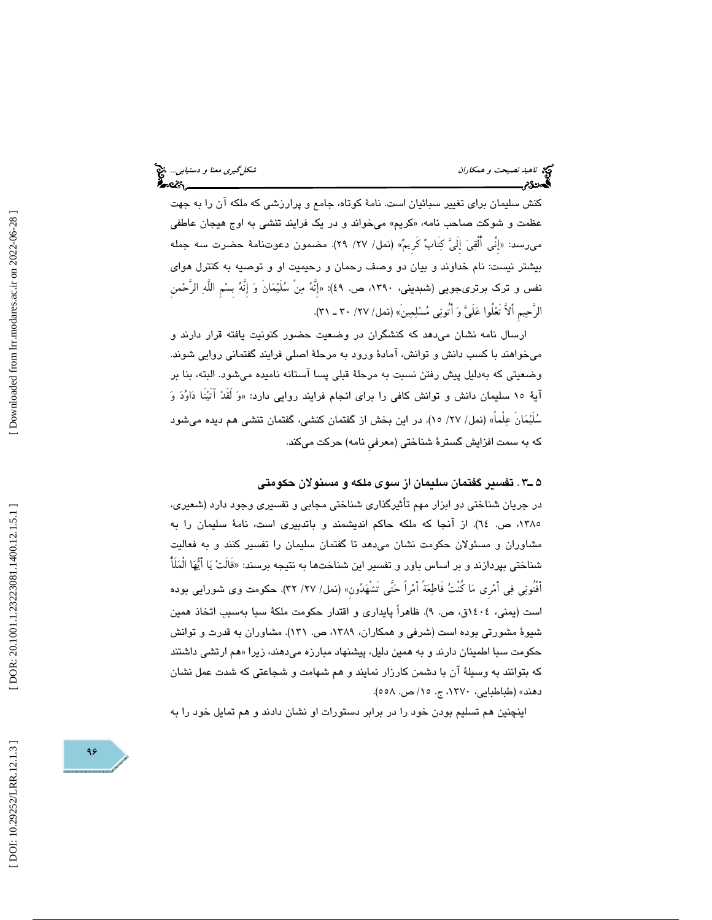كنش سليمان براي تغيير سبائيان است. نامة كوتاه، جامع و پرارزشي كه ملكه آن را به جهت عظمت و شوكت صاحب نامه، «كريم» مىخواند و در يک فرايند تنشى به اوج هيجان عاطفى ميرسد: «إنّي القِيَ إليّ كِتابٌ كريمٌ» (نمل/ ٢٧/ ٢٩). مضمون دعوتنامهٔ حضرت سه جمله بيشتر نيست: نام خداوند و بيان دو وصف رحمان و رحيميت او و توصيه به كنترل هواي نفس و ترك برترىجويى (شبديني، ١٣٩٠، ص. ٤٩): «إِنَّهُ مِن سُلَيْمَانِ وَ إِنَّهُ بِسْمِ اللَّهِ الرَّحْمن الرَّحِيمِ أَلاَّ تَعْلُوا عَلَيَّ وَ أَتُونِي مُسْلِمِينَ» (نمل/ ٢٧/ ٣٠ ـ ٣١).

ارسال نامه نشان ميدهد كه كنشگران در وضعيت حضور كنونيت يافته قرار دارند و ميخواهند با كسب دانش و توانش، آمادة ورود به مرحلة اصلي فرايند گفتماني روايي شوند. وضعيتي كه بهدليل پيش رفتن نسبت به مرحلة قبلي پسا آستانه ناميده ميشود. البته ، بنا بر اية ١٥ سليمان دانش و توانش كافي را براي انجام فرايند روايي دارد: «وَ لقدْ اتيْنا دَاوُدَ وَ سُلَيْمَان عِلْماً» (نمل/ ٢٧/ ١٥). در اين بخش از گفتمان كنشي، گفتمان تنشي هم ديده ميشود كه به سمت افزايش گسترة شناختي (معرفيِ نامه) حركت ميكند.

#### 3ـ 5 . تفسير گفتمان سليمان از سوي ملكه و مسئولان حكومتي

در جريان شناختي دو ابزار مهم تأثيرگذاري شناختي مجابي و تفسيري وجود دارد (شعيري، ،1385 ص. 64). از آنجا كه ملكه حاكم انديشمند و باتدبيري است، نامة سليمان را به مشاوران و مسئولان حكومت نشان ميدهد تا گفتمان سليمان را تفسير كنند و به فعاليت شناختی بپردازند و بر اساس باور و تفسیر این شناختها به نتیجه برسند: «قالتْ یَا ایّهَا المَلَّا أَفْتُونِي فِي أَمْرِي مَا كُنْتُ قَاطِعَةً أَمْراً حَتَّى تَشْهَدُونِ» (نمل/ ٢٧/ ٣٢). حكومت وي شورايي بوده است (يمني، 1404ق، ص. )9. ظاهراً پايداري و اقتدار حكومت ملكة سبا بهسبب اتخاذ همين شیوهٔ مشورتی بوده است (شرفی و همکاران، ۱۳۸۹، ص. ۱۳۱). مشاوران به قدرت و توانش حکومت سبا اطمینان دارند و به همین دلیل، پیشنهاد مبارزه میدهند، زیرا «هم ارتش*ی* داشتند كه بتوانند به وسيلة آن با دشمن كارزار نمايند و هم شهامت و شجاعتي كه شدت عمل نشان دهند» (طباطبايي، ۱۳۷۰، ج. ۱۵/ ص. ۵۰۸).

اينچنين هم تسليم بودن خود را در برابر دستورات او نشان دادند و هم تمايل خود را به

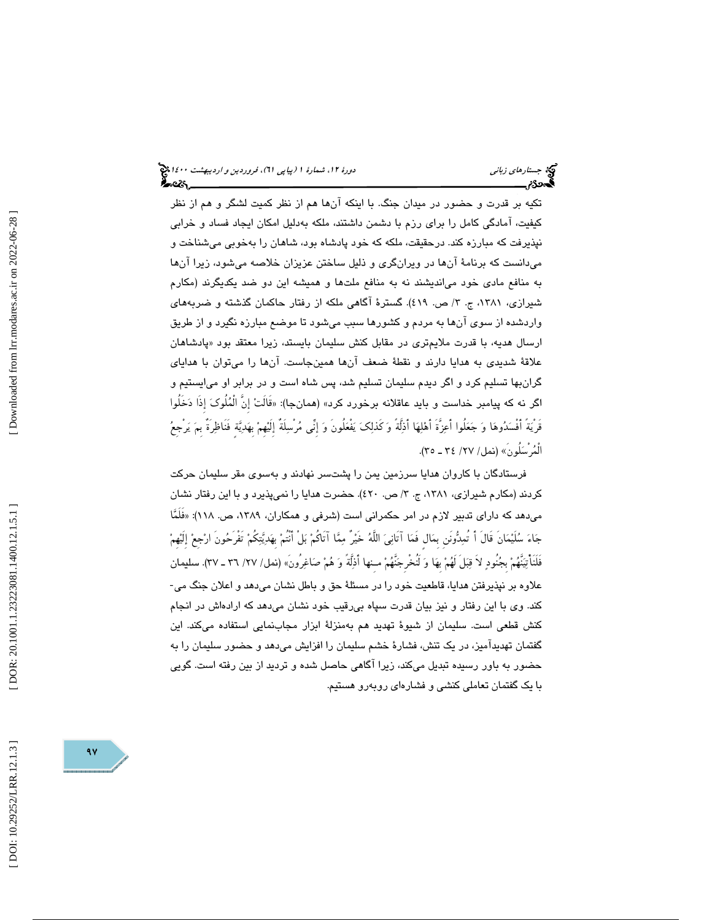تكيه بر قدرت و حضور در ميدان جنگ. ها با اينكه آن هم از نظر كميت لشگر و هم از نظر كيفيت ، آمادگى كامل را براى رزم با دشمن داشتند، ملكه بهدليل امكان ايجاد فساد و خرابي نپذيرفت كه مبارزه كند. درحقيقت ، ملكه كه خود پادشاه بود، شاهان را بهخوبي ميشناخت و ميدانست كه برنامهٔ آنها در ويرانگري و ذليل ساختن عزيزان خلاصه ميشود، زيرا آنها به منافع مادي خود ميانديشند نه به منافع ملتها و هميشه اين دو ضد يكديگرند (مكارم شیرازی، ۱۳۸۱، ج. ۳/ ص. ٤١٩). گسترهٔ اگاهی ملکه از رفتار حاکمان گذشته و ضربههای واردشده از سوي آن ها به مردم و كشورها سبب ميشود تا موضع مبارزه نگيرد و از طريق ارسال هديه، با قدرت ملايم¤رى در مقابل كنش سليمان بايستد، زيرا معتقد بود «پادشاهان علاقة شديدي به هدايا دارند و نقطة ضعف آنها همينجاست. آنها را ميتوان با هداياي گرانبها تسليم كرد و اگر ديدم سليمان تسليم شد، پس شاه است و در برابر او ميايستيم و اگر نه كه پيامبر خداست و بايد عاقلانه برخورد كرد» (همانجا): «قالتْ إن الْمُلُوكَ إذا دَخَلُوا ً قَرْيةً أَفْسدوها و جعلُوا أَعزَّةَ أَهلها أَذلَّةً و كَذلك يفْعلُونَ و إِنِّي مرْسلَةٌ إِلَيهِم بِهديةٍ فَنَاظرَةٌ بِم يرْجِع الْمُرْسَلُونَ» (نمل/ ٢٧/ ٣٤ ـ ٣٥).

فرستادگان با كاروان هدايا سرزمين يمن را پشتسر نهادند و بهسوي مقر سليمان حركت كردند (مكارم شيرازی، ۱۳۸۱، ج. ۳/ ص. ٤٢٠). حضرت هدايا را نمیپذيرد و با اين رفتار نشان میدهد كه دارای تدبیر لازم در امر حكمرانی است (شرفی و همكاران، ۱۳۸۹، ص. ۱۱۸): «فَلَمَّا جَاءَ سُلَيْمَانَ قَالَ أَ تُمِدُّونَنِ بِمَالٍ فَمَا آتَانِيَ اللَّهُ خَيْرٌ مِمَّا آتَاكُمْ بَلْ أَنْتُمْ بِهَدِيَّتِكُمْ تَفْرَحُونَ ارْجِعْ إِلَيْهِمْ فَلَنَأْتِيَنَّهُمْ بِجُنُودٍ لاَ قِبَلَ لَهُمْ بِهَا وَ لَنُخْرِجَنَّهُمْ مـِنها أَذِلَّةً وَ هُمْ صَاغِرُونَ» (نمل/ ٢٧/ ٣٦ ـ ٣٧). سليمان<br>علاوه بر نپذیرفتن هدایا، قاطعیت خود را در مسئلهٔ حق و باطل نشان میںدهد و اعلان جنگ كند. وي با اين رفتار و نيز بيان قدرت سپاه بيرقيب خود نشان ميدهد كه ارادهاش در انجام كنش قطعي است. سليمان از شيوة تهديد هم بهمنزلة ابزار مجابنمايي استفاده ميكند. اين گفتمان تهديدآميز، در يك تنش، فشارة خشم سليمان را افزايش ميدهد و حضور سليمان را به حضور به باور رسيده تبديل ميكند، زيرا آگاهي حاصل شده و ترديد از بين رفته است. گويي با يك گفتمان تعاملي كنشي و فشارهاي روبهرو هستيم.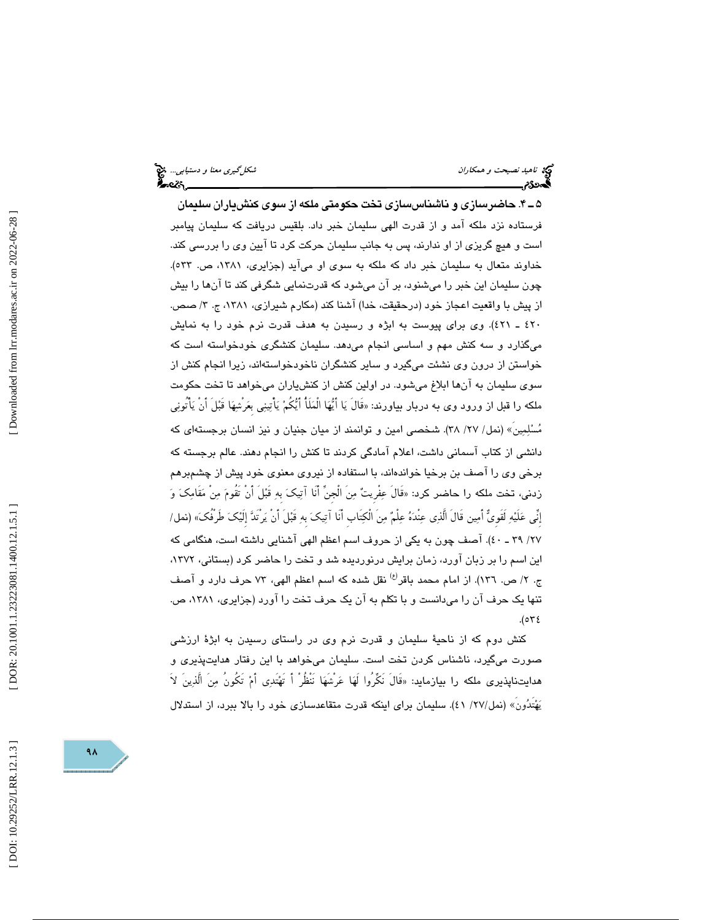ناهيد نصيحت و همكاران شكلگيري معنا و دستيابي... ان<mark>ت</mark>ى تصريحت و همكاران شكلگيري معنا و دستيابي... انت<mark>تى</mark><br>ال**کنه: شكل الکنه: شكل الکنه: شكل الکنه: شكل الکنه: شكل الکنه: شكل الکنه: شكل الکنه: شكل الکنه: شكل الکنه: شكل** 

4ـ 5 . حاضرسازي و ناشناسسازي تخت حكومتي ملكه از سوي كنشياران سليمان فرستاده نزد ملكه آمد و از قدرت الهي سليمان خبر داد. بلقيس دريافت كه سليمان پيامبر است و هيچ گريزي از او ندارند ، پس به جانب سليمان حركت كرد تا آيين وي را بررسي كند. خداوند متعال به سليمان خبر داد كه ملكه به سوي او ميآيد (جزايري، ،1381 ص. 533). چون سليمان اين خبر را ميشنود، بر آن ميشود كه قدرتنمايي شگرفي كند تا آنها را بيش از پيش ب ا واقعيت اعجاز خود (درحقيقت، خدا) آشنا كند (مكارم شيرازي ، ،1381 ج. 3/ صص. ٤٢٠ ـ ٤٢١). وی برای پیوست به ابژه و رسیدن به هدف قدرت نرم خود را به نمایش ميگذارد و سه كنش مهم و اساسي انجام ميدهد. سليمان كنشگري خودخواسته است كه خواستن از درون وي نشئت ميگيرد و ساير كنشگران ناخودخواستهاند، زيرا انجام كنش از سوي سليمان به آنها ابلاغ ميشود. در اولين كنش از كنشياران ميخواهد تا تخت حكومت ملكه را قَبل از ورود وى به دربار بياورند: «قال يَا ايُّهَا الْمَلَا ايُّكُمْ يَاتِينِي بَعَرشِهَا قَبْلُ ان يَاتونِي مُسْلِمِين» (نمل/ ٢٧/ ٣٨). شـخصـي امين و توانمند از ميان جنيان و نيز انسـان برجستهاي كه دانشي از كتاب آسماني داشت، اعلام آمادگي كردند تا كنش را انجام دهند. عالم برجسته كه برخي وي را آصف بن برخيا خواندهاند، با استفاده از نيروي معنوي خود پيش از چشمبرهم زدني، تخت ملكه را حاضر كرد: «قَالَ عِفْرِيتٌ مِنَ الْجِنِّ أَنَا آتِيكَ بِهِ قَبْلَ أَنْ تَقُومَ مِنْ مَقَامِكَ وَ إِنِّي علَيه لَقَوِي أَمين قَالَ الَّذي عنْده علْم منَ الْكتَابِ أَنَا آتيك بِه قَبلَ أَنْ يرْتَد إِلَيك طَرْفُك « ) نمل/ /27 ـ 39 40). آصف چون به يكي از حروف اسم اعظم الهي آشنايي داشته است، هنگامي كه اين اسم را بر زبان آورد، زمان برايش درنورديده شد و تخت را حاضر كرد (بستاني، ١٣٧٢، ج. ٢/ ص. ١٣٦). از امام محمد باقر<sup>(ع)</sup> نقل شده كه اسم اعظم الهي، ٧٣ حرف دارد و آصف تنها يك حرف آن را ميدانست و با تكلم به آن يك حرف تخت را آورد (جزايري، ،1381 ص.  $.(\circ \forall \epsilon$ 

كنش دوم كه از ناحية سليمان و قدرت نرم وي در راستاي رسيدن به ابژة ارزشي صورت ميگيرد، ناشناس كردن تخت است. سليمان ميخواهد با اين رفتار هدايتپذيري و هدايتناپذيرى ملكه را بيازمايد: «قال نكَرُوا لَهَا عَرْشَهَا نَنْظُرُ أَ تَهْتُدِي أَمْ تَكُونَ مِنَ اللَّذِينَ لاَ (نمل/27/ )41. سليمان براي اينكه قدرت متقاعدسازي خود را بالا ببرد، از استدلال يهتَدونَ»

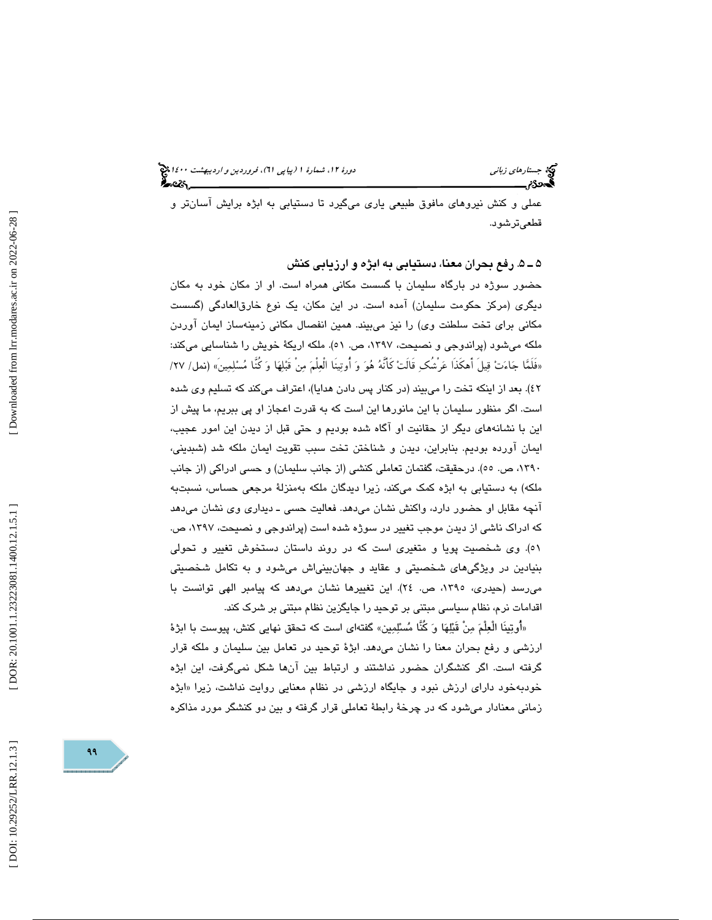عملي و كنش نيروهاي مافوق طبيعي ياري ميگيرد تا دستيابي به ابژه برايش آسانتر و قطعيترشود.

5 ـ 5 . رفع بحران معنا، دستيابي به ابژه و ارزيابي كنش

حضور سوژه در بارگاه سليمان با گسست مكاني همراه است. او از مكان خود به مكان ديگري (مركز حكومت سليمان) آمده است. در اين مكان، يك نوع خارقالعادگي (گسست مكاني براي تخت سلطنت وي) را نيز ميبيند. همين انفصال مكاني زمينهساز ايمان آوردن ملكه ميشود (پراندوجي و نصيحت، ،1397 ص. 51). ملكه اريكة خويش را شناسايي ميكند: «فَلَمَّا جَاءَتْ قِيلَ اهْكَذَا عَرْشُكِ قَالَتْ كَانَهُ هُوَ وَ أُوتِينَا الْعِلْمَ مِنْ قَبْلِهَا وَ كُنَّا مُسْلِمِينَ» (نمل/ 7۷/ .)42 بعد از اينكه تخت را ميبيند (در كنار پس دادن هدايا)، اعتراف ميكند كه تسليم وي شده است. اگر منظور سليمان با اين مانورها اين است كه به قدرت اعجاز او پي ببريم، ما پيش از اين با نشانههاي ديگر از حقانيت او آگاه شده بوديم و حتي قبل از ديدن اين امور عجيب ، ايمان آورده بوديم. بنابراين ، ديدن و شناختن تخت سبب تقويت ايمان ملكه شد (شبديني، ،1390 ص. 55). درحقيقت، گفتمان تعاملي كنشي (از جانب سليمان) و حسي ادراكي (از جانب ملكه) به دستيابي به ابژه كمك ميكند، زيرا ديدگان ملكه بهمنزلة مرجعي حساس، نسبتبه آنچه مقابل او حضور دارد، واكنش نشان ميدهد. فعاليت حسي ـ ديداري وي نشان ميدهد كه ادراك ناشي از ديدن موجب تغيير در سوژه شده است (پراندوجي و نصيحت، ،1397 ص. 51). وي شخصيت پويا و متغيري است كه در روند داستان دستخوش تغيير و تحولي بنيادين در ويژگيهاي شخصيتي و عقايد و جهانبينياش ميشود و به تكامل شخصيتي ميرسد (حيدري، ،1395 ص. 24). اين تغييرها نشان ميدهد كه پيامبر الهي توانست با اقدامات نرم، نظام سياسي مبتني بر توحيد را جايگزين نظام مبتني بر شرك كند.

«أُوتِينَا الْعِلْمَ مِنْ قَبْلِهَا وَ كُنَّا مُسْلِمِين» گفتهاي است كه تحقق نهايي كنش، پيوست با ابژهٔ ارزشي و رفع بحران معنا را نشان ميدهد. ابژة توحيد در تعامل بين سليمان و ملكه قرار گرفته است. اگر كنشگران حضور نداشتند و ارتباط بين آنها شكل نميگرفت، اين ابژه خودبهخود داراي ارزش نبود و جايگاه ارزشي در نظام معنايي روايت نداشت، زيرا «ابژه زماني معنادار ميشود كه در چرخة رابطة تعاملي قرار گرفته و بين دو كنشگر مورد مذاكره

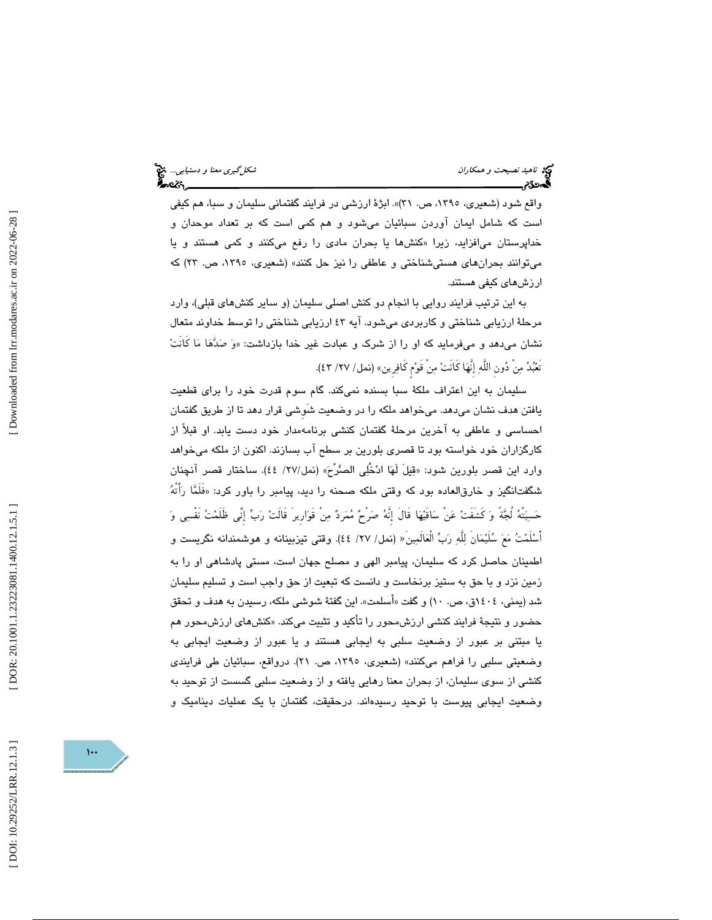ناهيد *نصيحت و همكاران شكلگيري معنا و دستيابي..*. ف**كي**<br>ناهيد نصيحت *و همكاران*<br>پاڪسپري ايران شكل شكل مستقل و دريان ميليان بين ايران بين ايران بين ايران بين ايران بين ايران بين ايران بين ايران

واقع شود (شعيري، ،1395 ص. 31)». ابژة ارزشي در فرايند گفتماني سليمان و سبا، هم كيفي است كه شامل ايمان آوردن سبائيان ميشود و هم كمي است كه بر تعداد موحدان و خداپرستان میافزاید، زیرا «کنشها یا بحران ما*دی* را رفع میکنند و کمی هستند و یا ميتوانند بحرانهاي هستيشناختي و عاطفي را نيز حل كنند» (شعيري، ،1395 ص. 23) كه ارزشهاي كيفي هستند.

به اين ترتيب فرايند روايي با انجام دو كنش اصلي سليمان (و ساير كنشهاي قبلي)، وارد مرحلة ارزيابي شناختي و كاربردي ميشود. آيه 43 ارزيابي شناختي را توسط خداوند متعال نشان میٖدهد و میفرماید که او را از شرک و عبادت غیر خدا بازداشت: «وَ صَدَّهَا مَا کانتْ تَعْبُدُ مِنْ دُونِ اللَّهِ إِنَّهَا كَانَتْ مِنْ قَوْمٍ كَافِرِينِ» (نمل/ ٢٧/ ٤٣).

سليمان به اين اعتراف ملكة سبا بسنده نميكند. گام سوم قدرت خود را براي قطعيت يافتن هدف نشان ميدهد. ميخواهد ملكه را در وضعيت شَوِشي قرار دهد تا از طريق گفتمان احساسي و عاطفي به آخرين مرحلة گفتمان كنشي برنامهمدار خود دست يابد. او قبلاً از كارگزاران خود خواسته بود تا قصري بلورين بر سطح آب بسازند. اكنون از ملكه ميخواهد وارد اين قصر بلورين شود: « قيلَ لَها ادخُلي الصرْح) «نمل/27/ 44). ساختار قصر آنچنان شگفتانگيز و خارقالعاده بود كه وقتي ملكه صحنه را ديد، پيامبر را باور كرد: «فلمَّا رَاتهُ حَسِبَتْهُ لُجَّةً وَ كَشَفَتْ عَنْ سَاقَيْهَا قَالَ إِنَّهُ صَرْحٌ مُمَرِدٌ مِنْ قَوَارِيرَ قَالَتْ رَبِّ إِنِّي ظَلَمْتُ نَفْسِي وَ اسْلَمْتُ مَعَ سُلَيْمَان لِلْهِ رَبِّ الْعَالَمِينَ« (نمل/ ٢٧/ ٤٤). وقتي تيزبينانـه و هوشمندانـه نگريست و اطمينان حاصل كرد كه سليمان، پيامبر الهي و مصلح جهان است، مستي پادشاهي او را به زمين نزد و با حق به ستيز برنخاست و دانست كه تبعيت از حق واجب است و تسليم سليمان شد (يمني، ١٤٠٤ق، ص. ١٠) و گفت «أسلمت». اين گفتهٔ شوشي ملکه، رسيدن به هدف و تحقق حضور و نتيجهٔ فرايند كنشي ارزش،حور را تأكيد و تثبيت ميكند. «كنشهاى ارزش،حور هم يا مبتني بر عبور از وضعيت سلبي به ايجابي هستند و يا عبور از وضعيت ايجابي به وضعيتي سلبي را فراهم ميكنند» (شعيري، ١٣٩٥، ص. ٢١). درواقع، سبائيان طي فرايندي كنشي از سوي سليمان، از بحران معنا رهايي يافته و از وضعيت سلبي گسست از توحيد به وضعيت ايجابي پيوست با توحيد رسيدهاند. درحقيقت، گفتمان با يك عمليات ديناميك و

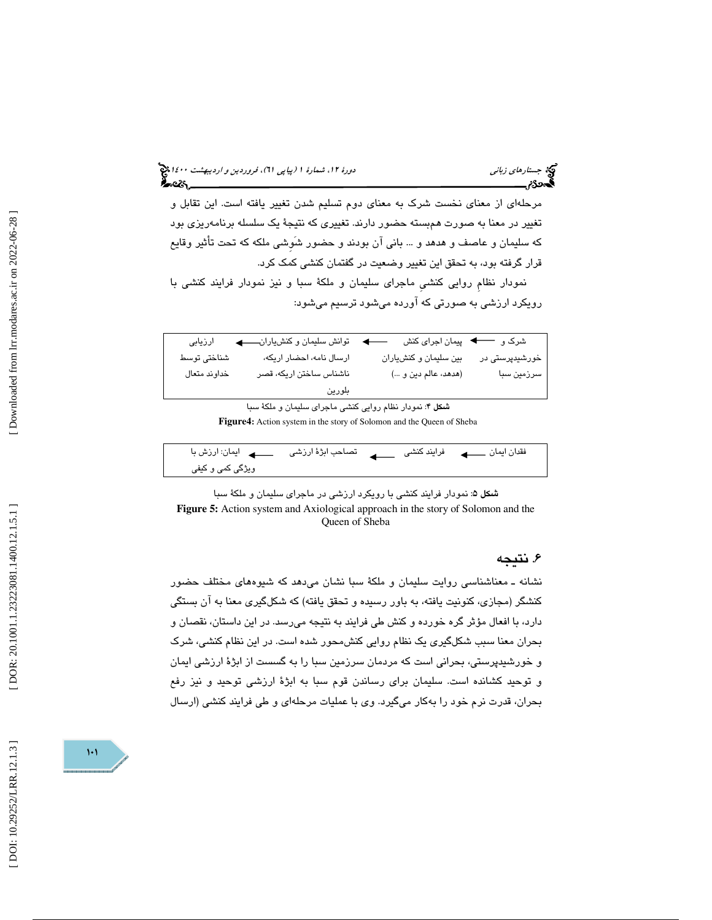#### جستار*هاي زباني هي المرديبهشت 1400 ه*ورو 11، شمارة 1 (پياپي 71)، فر*وردين و ارديبهشت 14*00 هج ર્કેન્સ્ટર,\_\_

مرحلهاي از معناي نخست شرك به معناي دوم تسليم شدن تغيير يافته است. اين تقابل و تغيير در معنا به صورت همبسته حضور دارند. تغييري كه نتيجة يك سلسله برنامهريزي بود كه سليمان و عاصف و هدهد و ... باني آن بودند و حضور شَوِشي ملكه كه تحت تأثير وقايع قرار گرفته بود، به تحقق اين تغيير وضعيت در گفتمان كنشي كمك كرد.

نمودار نظامِ روايي كنشيِ ماجراي سليمان و ملكة سبا و نيز نمودار فرايند كنشي با رويكرد ارزشي به صورتي كه آورده ميشود ترسيم ميشود:

| ارزيابى                                                 | توانش سلیمان و کنشیاران  | شرک و مسک پیمان اجرای کنش |                |  |
|---------------------------------------------------------|--------------------------|---------------------------|----------------|--|
| شناختى توسط                                             | ارسال نامه، احضار اریکه، | بین سلیمان و کنشیاران     | خورشیدپرستی در |  |
| خداوند متعال                                            | ناشناس ساختن اريكه، قصر  | (هدهد، عالم دين و )       | سرزمین سبا     |  |
|                                                         | بلورين                   |                           |                |  |
| شکل ۴: نمودار نظام روایی کنشی ماجرای سلیمان و ملکهٔ سبا |                          |                           |                |  |

**Figure4 :** Action system in the story of Solomon and the Queen of Sheba

| ویژگی کمی و کیفی |  |  |
|------------------|--|--|

شكل 5: نمودار فرايند كنشي با رويكرد ارزشي در ماجراي سليمان و ملكة سبا **Figure 5:** Action system and Axiological approach in the story of Solomon and the Queen of Sheba

### . نتيجه 6

نشانه ـ معناشناسي روايت سليمان و ملكة سبا نشان ميدهد كه شيوههاي مختلف حضور كنشگر (مجازي، كنونيت يافته، به باور رسيده و تحقق يافته) كه شكلگيري معنا به آن بستگي دارد، با افعال مؤثر گره خورده و كنش طي فرايند به نتيجه ميرسد. در اين داستان، نقصان و بحران معنا سبب شكلگيري يك نظام روايي كنشمحور شده است. در اين نظام كنشي، شرك و خورشيدپرستي، بحراني است كه مردمان سرزمين سبا را به گسست از ابژة ارزشي ايمان و توحيد كشانده است. سليمان براي رساندن قوم سبا به ابژة ارزشي توحيد و نيز رفع بحران، قدرت نرم خود را بهكار ميگيرد. وي با عمليات مرحلهاي و طي فرايند كنشي (ارسال

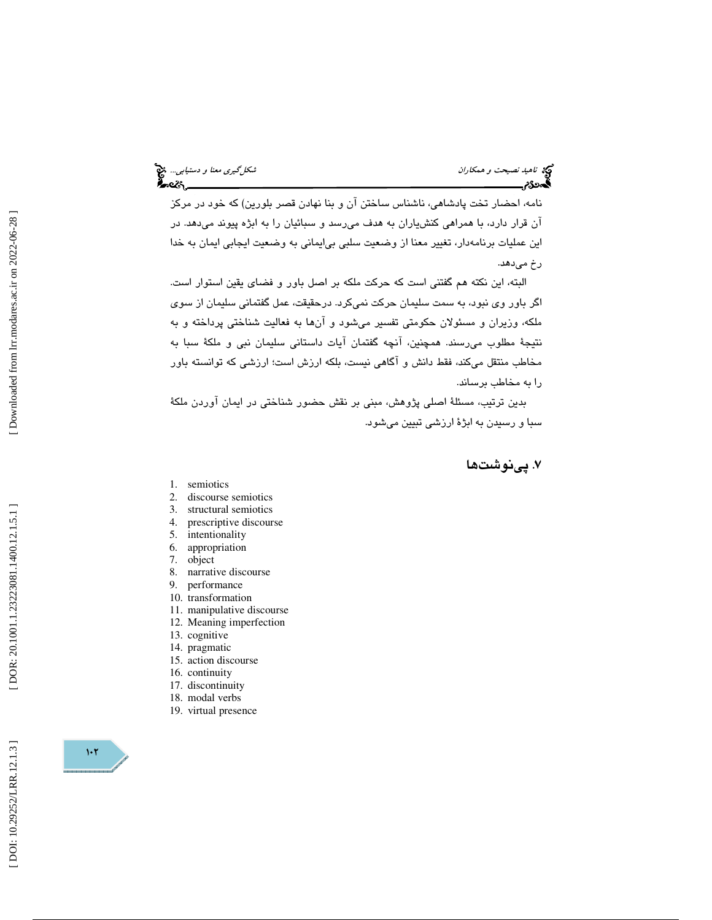نامه، احضار تخت پادشاهي، ناشناس ساختن آن و بنا نهادن قصر بلورين) كه خود در مركز آن قرار دارد، با همراهي كنشياران به هدف ميرسد و سبائيان را به ابژه پيوند ميدهد. در اين عمليات برنامهدار، تغيير معنا از وضعيت سلبي بيايماني به وضعيت ايجابي ايمان به خدا رخ ميدهد.

البته ، اين نكته هم گفتني است كه حركت ملكه بر اصل باور و فضاي يقين استوار است. اگر باور وي نبود، به سمت سليمان حركت نميكرد. درحقيقت ، عمل گفتماني سليمان از سوي ملكه، وزيران و مسئولان حكومتي تفسير ميشود و آنها به فعاليت شناختي پرداخته و به نتيجهٔ مطلوب مي سند. همچنين، آنچه گفتمان آيات داستاني سليمان نبي و ملكهٔ سبا به مخاطب منتقل ميكند، فقط دانش و آگاهي نيست، بلكه ارزش است؛ ارزشي كه توانسته باور را به مخاطب برساند.

بدين ترتيب ، مسئلة اصلي پژوهش، مبني بر نقش حضور شناختي در ايمان آوردن ملكة سبا و رسيدن به ابژة ارزشي تبيين ميشود.

### . پينوشت ها 7

- 1. semiotics
- 2. discourse semiotics
- 3. structural semiotics
- 4. prescriptive discourse
- 5. intentionality
- 6. appropriation
- 7. object
- 8. narrative discourse
- 9. performance
- 10. transformation
- 11. manipulative discourse
- 12. Meaning imperfection
- 13. cognitive
- 14. pragmatic
- 15. action discourse
- 16. continuity
- 17. discontinuity
- 18. modal verbs
- 19. virtual presence

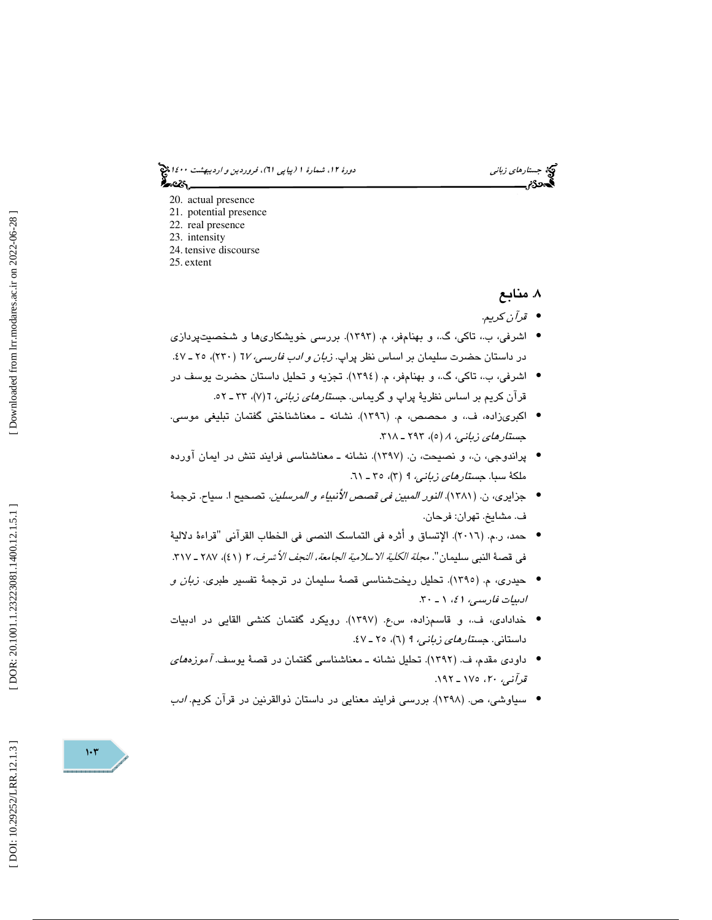جستار*هاي زباني هي المرديبهشت 1400 ه*ورو 11، شمارة 1 (پياپي 71)، فر*وردين و ارديبهشت 14*00 هج ಹಿಂದಿ

- 20. actual presence
- 21. potential presence
- 22. real presence
- 23. intensity
- 24. tensive discourse 25. extent

. منابع 8

- قرآن كريم. •
- اشرفي، ب،. تاكي، گ،. و بهنامفر، م. (1393). بررسي خويشكاريها و شخصيتپردازي در داستان حضرت سلیمان بر اساس نظر پراپ. *زبان و ادب فارسی، ٦٧* (٢٣٠)، ٢٥ ـ ٤٧.
- اشرفي، ب،. تاكي، گ،. و بهنامفر، م. (1394). تجزيه و تحليل داستان حضرت يوسف در قران كريم بر اساس نظريۀ پراپ و گريماس. ج*ستارهای زبانی،* ٦ (٧)، ٣٣ ـ ٥٢.
- اكبريزاده، ف،. و محصص، م. (1396). نشانه ـ معناشناختي گفتمان تبليغي موسي. جستارهاي زباني،  $A$  (٥)، ٢٩٣ ـ ٣١٨.
- پراندوجي، ن،. و نصيحت، ن. (1397). نشانه ـ معناشناسي فرايند تنش در ايمان آورده ملكة سبا. ج*ستارهاي زباني، ٩ (٣)، ٣٥ ـ ٦١.*
- جزايري، ن. (1381). النور المبين في قصص الأنبياء و المرسلين. تصحيح ا. سياح. ترجمة ف. مشايخ. تهران: فرحان.
- حمد، ر.م. (٢٠١٦). الإتساق و أثره في التماسك النصي في الخطاب القرآني "قراءهٔ دلاليهٔ في قصـهٔ النبي سليمان". *مجلة الكلية الاسلامية الجامعة، النجف الأشرف، ٢* (٤١)، ٢٨٧ ـ ٣١٧.
- حيدري، م. (١٣٩٥). تحليل ريختشناسي قصة سليمان در ترجمة تفسير طبري. *زبان و* ادبيات فارسي، ٤١، ١ ـ ٣٠.
- خدادادي، ف،. و قاسمزاده، س.ع. (1397). رويكرد گفتمان كنشي القايي در ادبيات داستاني. جستارهاي زباني، 9 6( )، ـ 25 47.
- داودي مقدم، ف. (1392 ). تحليل نشانه ـ معناشناسي گفتمان در قصة يوسف. آموزههاي قرآني، ،20 175 ـ .192
- سياوشي، ص. (1398). بررسي فرايند معنايي در داستان ذوالقرنين در قرآن كريم. ادب •



 $1.7$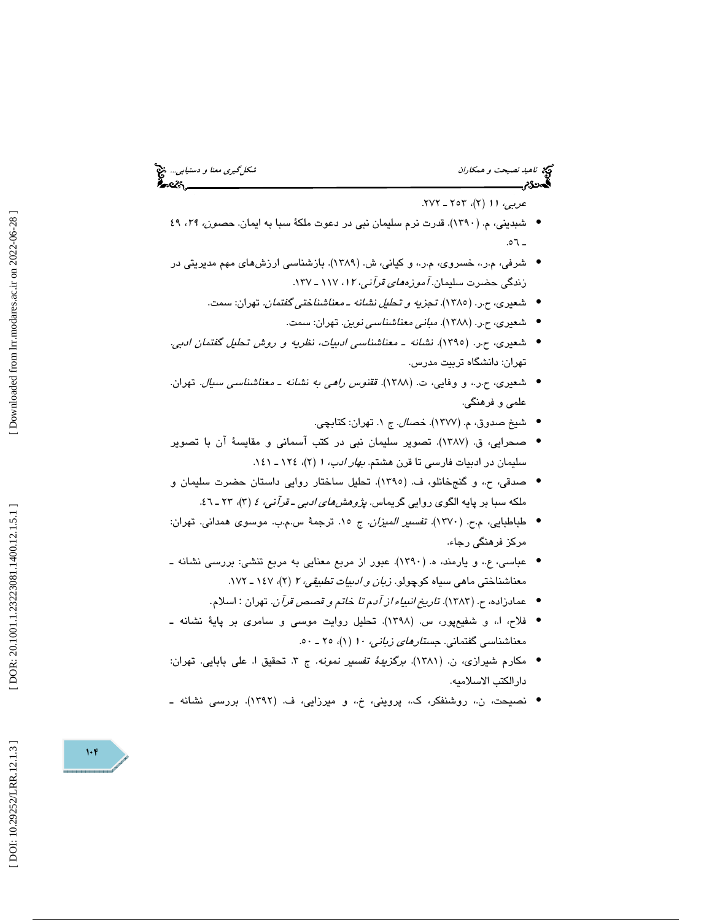# ناهيد نصيحت و همكاران شكلگيري معنا و دستيابي... انتخاب نصيحت و همكاران شكلگيري معنا و دستيابي... انتخابي<br>الجمهوریم

عربي، 11 2( )، 253 ـ 272 .

- شبديني، م. (1390). قدرت نرم سليمان نبي در دعوت ملكة سبا به ايمان. حصون، ،29 49  $.01$
- شرفي، م.ر،. خسروي، م.ر،. و كياني، ش. (1389). بازشناسي ارزشهاي مهم مديريتي در زندگی حضرت سليمان. *آموزههای قرآنی، ١٢،* ١١٧ ـ ١٣٧.
	- شعيري، ح.ر. (1385). تجزيه و تحليل نشانه ـ معناشناختي گفتمان. تهران: سمت.
		- شعيري، ح.ر. (1388). مباني معناشناسي نوين. تهران: سمت. •
- شعيري، ح.ر. (1395). نشانه ـ معناشناسي ادبيات، نظريه و روش تحليل گفتمان ادبي. تهران: دانشگاه تربيت مدرس.
- شعيري، ح.ر،. و وفايي، ت. (1388). ققنوس راهي به نشانه ـ معناشناسي سيال. تهران. علمي و فرهنگي.
	- شيخ صدوق، م. (١٣٧٧). *خصال.* ج ١. تهران: كتابچي.
- صحرايي، ق. (1387). تصوير سليمان نبي در كتب آسماني و مقايسة آن با تصوير سلیمان در ادبیات فارسی تا قرن هشتم. *بهار ادب،* ۱ (۲)، ۱۲۶ ـ ۱٤۱.
- صدقي، ح،. و گنجخانلو، ف. (1395). تحليل ساختار روايي داستان حضرت سليمان و ملکه سبا بر پايه الگوی روايي گريماس. *پژوهشهای ادبی ـ قرآنی، ٤* (۳)، ۲۳ ـ ٤٦.
- طباطبايي، م.ح. (١٣٧٠). تف*سير الميزان.* ج ١٥. ترجمة س.م.ب. موسوى همداني. تهران: مركز فرهنگي رجاء.
- عباسي، ع،. و يارمند، ه. (1390). عبور از مربع معنايي به مربع تنشي: بررسي نشانه ـ معناشناختی ماهی سیاه کوچولو. *زبان و ادبیات تطبیقی، ۲* (۲)، ۱۶۷ ـ ۱۷۲.
	- عمادزاده، ح. (١٣٨٣). ت*اريخ انبياء از آدم تا خاتم و قصص قرآن.* تهران : اسلام.
- فلاح، ا،. و شفيعپور، س. (1398). تحليل روايت موسي و سامري بر پاية نشانه ـ معناشناسي گفتماني. *جستار<i>هاي زباني، ۱۰* (۱)، ۲۰ ـ ۵۰.
- مكارم شيرازى، ن. (١٣٨١). برگزي*دة تفسير نمونه.* ج ٣. تحقيق ا. علي بابايي. تهران: دارالكتب الاسلاميه.
- نصيحت، ن،. روشنفكر، ك،. پرويني، خ،. و ميرزايي، ف. (1392). بررسي نشانه ـ •

DOI: 10.29252/LRR.12.1.3]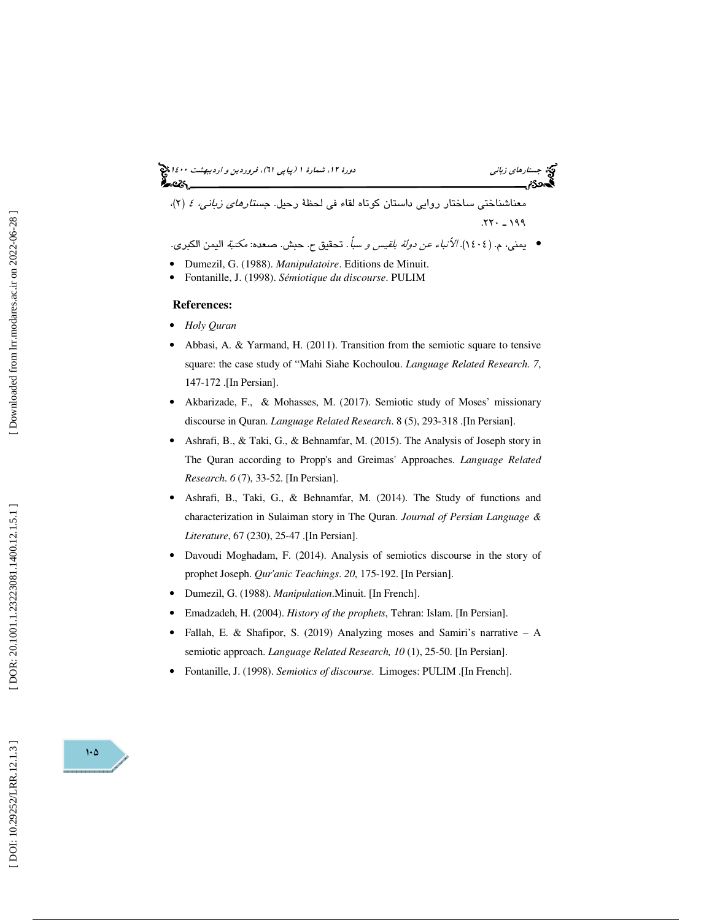(پياپي 61)، فروردين و ارديبهشت 1400 جستارهاي زباني دورة ،12 شمارة 1 <sup>199</sup> <sup>ـ</sup> .220 معناشناختي ساختار روايي داستان كوتاه لقاء في لحظة رحيل. جستارهاي زباني، 4 )2،( • يمني، م. (1404). الأنباء عن دولة بلقيس و سبأ. تحقيق ح. حبش. صعده: مكتبة اليمن الكبري.

• Dumezil, G. (1988). *Manipulatoire*. Editions de Minuit. • Fontanille, J. (1998). *Sémiotique du discourse*. PULIM

#### **References:**

- *Holy Quran*
- Abbasi, A. & Yarmand, H. (2011). Transition from the semiotic square to tensive square: the case study of "Mahi Siahe Kochoulou. *Language Related Research. 7*, 147-172 .[In Persian].
- Akbarizade, F., & Mohasses, M. (2017). Semiotic study of Moses' missionary discourse in Quran. *Language Related Research*. 8 (5), 293-318 .[In Persian].
- Ashrafi, B., & Taki, G., & Behnamfar, M. (2015). The Analysis of Joseph story in The Quran according to Propp's and Greimas' Approaches. *Language Related Research*. *6* (7), 33-52. [In Persian].
- Ashrafi, B., Taki, G., & Behnamfar, M. (2014). The Study of functions and characterization in Sulaiman story in The Quran. *Journal of Persian Language & Literature*, 67 (230), 25-47 .[In Persian].
- Davoudi Moghadam, F. (2014). Analysis of semiotics discourse in the story of prophet Joseph. *Qur'anic Teachings*. *20*, 175-192. [In Persian].
- Dumezil, G. (1988). *Manipulation*.Minuit. [In French].
- Emadzadeh, H. (2004). *History of the prophets*, Tehran: Islam. [In Persian].
- Fallah, E. & Shafipor, S. (2019) Analyzing moses and Samiri's narrative A semiotic approach. *Language Related Research, 10* (1), 25-50. [In Persian].
- Fontanille, J. (1998). *Semiotics of discourse*. Limoges: PULIM .[In French].

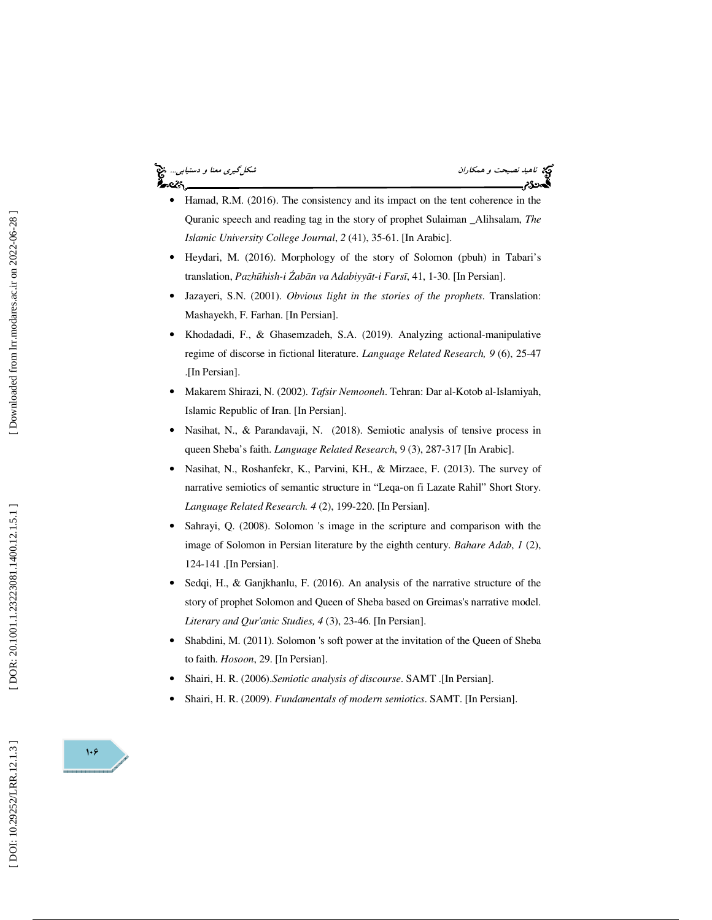## ⊷ટડ



- Hamad, R.M. (2016). The consistency and its impact on the tent coherence in the Quranic speech and reading tag in the story of prophet Sulaiman \_Alihsalam, *The Islamic University College Journal*, *2* (41), 35-61. [In Arabic].
- Heydari, M. (2016). Morphology of the story of Solomon (pbuh) in Tabari's translation, *Pazh* ū*hish-i*  Ź*ab* ā*n va Adabiyy* ā*t-i Fars* ī, 41, 1-30. [In Persian].
- Jazayeri, S.N. (2001). *Obvious light in the stories of the prophets*. Translation: Mashayekh, F. Farhan. [In Persian].
- Khodadadi, F., & Ghasemzadeh, S.A. (2019). Analyzing actional-manipulative regime of discorse in fictional literature. *Language Related Research, 9* (6), 25-47 .[In Persian].
- Makarem Shirazi, N. (2002). *Tafsir Nemooneh*. Tehran: Dar al-Kotob al-Islamiyah, Islamic Republic of Iran. [In Persian].
- Nasihat, N., & Parandavaji, N. (2018). Semiotic analysis of tensive process in queen Sheba's faith. *Language Related Research*, 9 (3), 287-317 [In Arabic].
- Nasihat, N., Roshanfekr, K., Parvini, KH., & Mirzaee, F. (2013). The survey of narrative semiotics of semantic structure in "Leqa-on fi Lazate Rahil" Short Story. *Language Related Research. 4* (2), 199-220. [In Persian].
- Sahrayi, Q. (2008). Solomon 's image in the scripture and comparison with the image of Solomon in Persian literature by the eighth century. *Bahare Adab* , *1* (2), 124-141 .[In Persian].
- Sedqi, H., & Ganjkhanlu, F. (2016). An analysis of the narrative structure of the story of prophet Solomon and Queen of Sheba based on Greimas's narrative model. *Literary and Qur'anic Studies, 4* (3), 23-46. [In Persian].
- Shabdini, M. (2011). Solomon 's soft power at the invitation of the Queen of Sheba to faith. *Hosoon*, 29. [In Persian].
- Shairi, H. R. (2006).*Semiotic analysis of discourse*. SAMT .[In Persian].
- Shairi, H. R. (2009). *Fundamentals of modern semiotics*. SAMT. [In Persian].

 $\mathcal{W}$